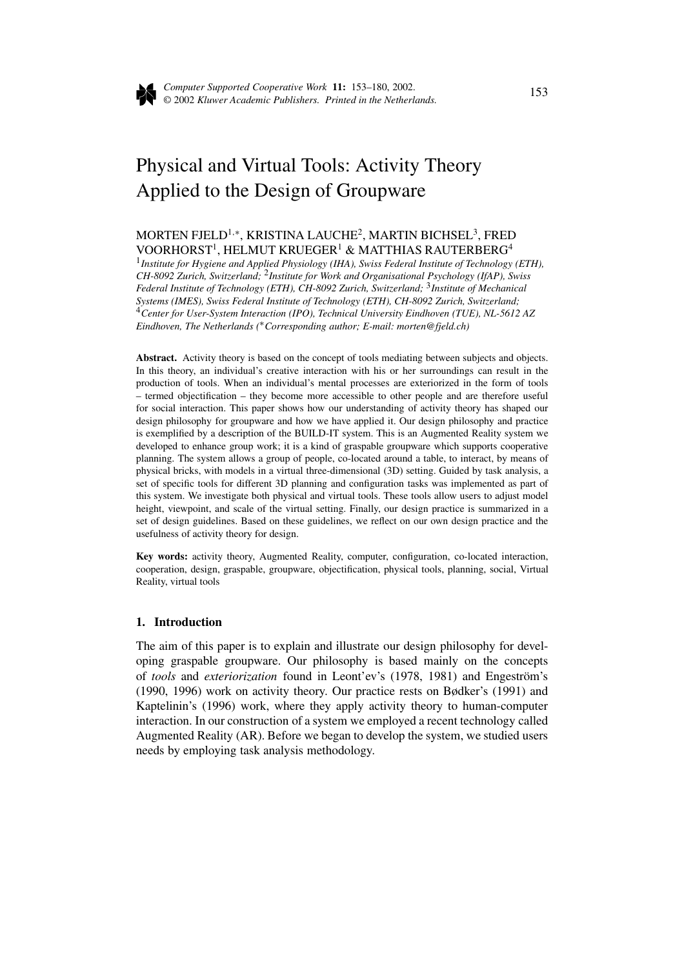

# Physical and Virtual Tools: Activity Theory Applied to the Design of Groupware

# MORTEN FJELD<sup>1</sup>*,*∗, KRISTINA LAUCHE2, MARTIN BICHSEL3, FRED VOORHORST<sup>1</sup>, HELMUT KRUEGER<sup>1</sup> & MATTHIAS RAUTERBERG<sup>4</sup>

<sup>1</sup>*Institute for Hygiene and Applied Physiology (IHA), Swiss Federal Institute of Technology (ETH), CH-8092 Zurich, Switzerland;* <sup>2</sup>*Institute for Work and Organisational Psychology (IfAP), Swiss Federal Institute of Technology (ETH), CH-8092 Zurich, Switzerland;* <sup>3</sup>*Institute of Mechanical Systems (IMES), Swiss Federal Institute of Technology (ETH), CH-8092 Zurich, Switzerland;* <sup>4</sup>*Center for User-System Interaction (IPO), Technical University Eindhoven (TUE), NL-5612 AZ Eindhoven, The Netherlands (*∗*Corresponding author; E-mail: morten@fjeld.ch)*

**Abstract.** Activity theory is based on the concept of tools mediating between subjects and objects. In this theory, an individual's creative interaction with his or her surroundings can result in the production of tools. When an individual's mental processes are exteriorized in the form of tools – termed objectification – they become more accessible to other people and are therefore useful for social interaction. This paper shows how our understanding of activity theory has shaped our design philosophy for groupware and how we have applied it. Our design philosophy and practice is exemplified by a description of the BUILD-IT system. This is an Augmented Reality system we developed to enhance group work; it is a kind of graspable groupware which supports cooperative planning. The system allows a group of people, co-located around a table, to interact, by means of physical bricks, with models in a virtual three-dimensional (3D) setting. Guided by task analysis, a set of specific tools for different 3D planning and configuration tasks was implemented as part of this system. We investigate both physical and virtual tools. These tools allow users to adjust model height, viewpoint, and scale of the virtual setting. Finally, our design practice is summarized in a set of design guidelines. Based on these guidelines, we reflect on our own design practice and the usefulness of activity theory for design.

**Key words:** activity theory, Augmented Reality, computer, configuration, co-located interaction, cooperation, design, graspable, groupware, objectification, physical tools, planning, social, Virtual Reality, virtual tools

#### **1. Introduction**

The aim of this paper is to explain and illustrate our design philosophy for developing graspable groupware. Our philosophy is based mainly on the concepts of *tools* and *exteriorization* found in Leont'ev's (1978, 1981) and Engeström's (1990, 1996) work on activity theory. Our practice rests on Bødker's (1991) and Kaptelinin's (1996) work, where they apply activity theory to human-computer interaction. In our construction of a system we employed a recent technology called Augmented Reality (AR). Before we began to develop the system, we studied users needs by employing task analysis methodology.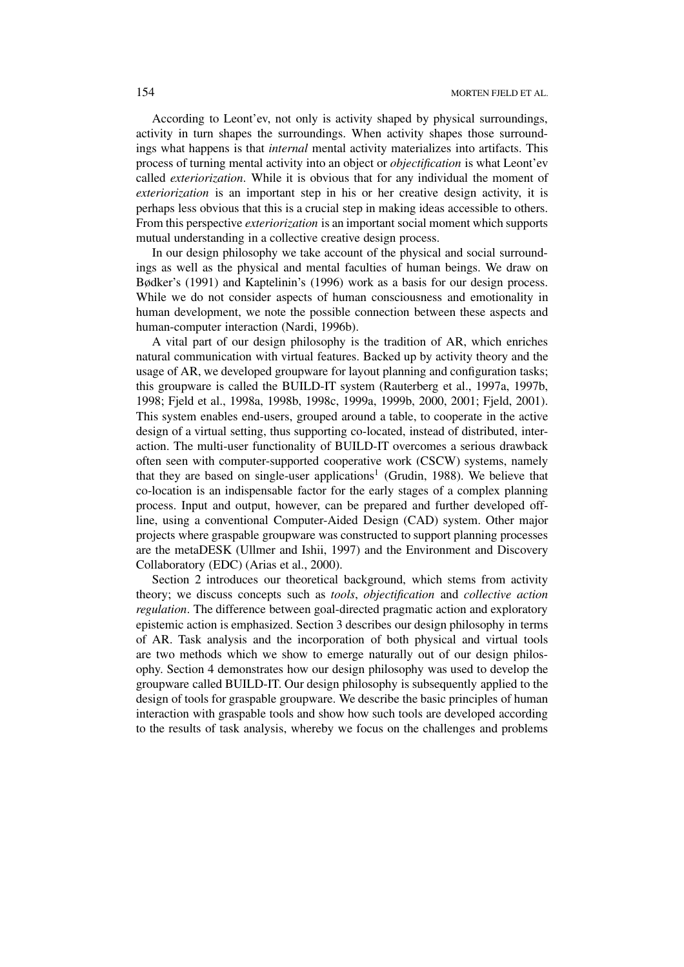According to Leont'ev, not only is activity shaped by physical surroundings, activity in turn shapes the surroundings. When activity shapes those surroundings what happens is that *internal* mental activity materializes into artifacts. This process of turning mental activity into an object or *objectification* is what Leont'ev called *exteriorization*. While it is obvious that for any individual the moment of *exteriorization* is an important step in his or her creative design activity, it is perhaps less obvious that this is a crucial step in making ideas accessible to others. From this perspective *exteriorization* is an important social moment which supports mutual understanding in a collective creative design process.

In our design philosophy we take account of the physical and social surroundings as well as the physical and mental faculties of human beings. We draw on Bødker's (1991) and Kaptelinin's (1996) work as a basis for our design process. While we do not consider aspects of human consciousness and emotionality in human development, we note the possible connection between these aspects and human-computer interaction (Nardi, 1996b).

A vital part of our design philosophy is the tradition of AR, which enriches natural communication with virtual features. Backed up by activity theory and the usage of AR, we developed groupware for layout planning and configuration tasks; this groupware is called the BUILD-IT system (Rauterberg et al., 1997a, 1997b, 1998; Fjeld et al., 1998a, 1998b, 1998c, 1999a, 1999b, 2000, 2001; Fjeld, 2001). This system enables end-users, grouped around a table, to cooperate in the active design of a virtual setting, thus supporting co-located, instead of distributed, interaction. The multi-user functionality of BUILD-IT overcomes a serious drawback often seen with computer-supported cooperative work (CSCW) systems, namely that they are based on single-user applications<sup>1</sup> (Grudin, 1988). We believe that co-location is an indispensable factor for the early stages of a complex planning process. Input and output, however, can be prepared and further developed offline, using a conventional Computer-Aided Design (CAD) system. Other major projects where graspable groupware was constructed to support planning processes are the metaDESK (Ullmer and Ishii, 1997) and the Environment and Discovery Collaboratory (EDC) (Arias et al., 2000).

Section 2 introduces our theoretical background, which stems from activity theory; we discuss concepts such as *tools*, *objectification* and *collective action regulation*. The difference between goal-directed pragmatic action and exploratory epistemic action is emphasized. Section 3 describes our design philosophy in terms of AR. Task analysis and the incorporation of both physical and virtual tools are two methods which we show to emerge naturally out of our design philosophy. Section 4 demonstrates how our design philosophy was used to develop the groupware called BUILD-IT. Our design philosophy is subsequently applied to the design of tools for graspable groupware. We describe the basic principles of human interaction with graspable tools and show how such tools are developed according to the results of task analysis, whereby we focus on the challenges and problems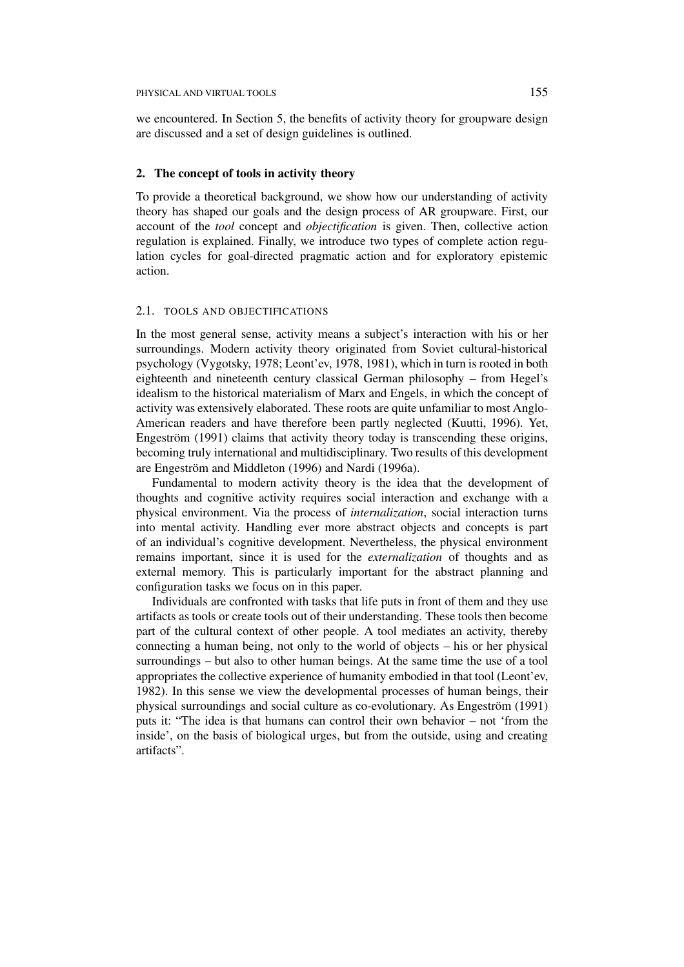we encountered. In Section 5, the benefits of activity theory for groupware design are discussed and a set of design guidelines is outlined.

#### **2. The concept of tools in activity theory**

To provide a theoretical background, we show how our understanding of activity theory has shaped our goals and the design process of AR groupware. First, our account of the *tool* concept and *objectification* is given. Then, collective action regulation is explained. Finally, we introduce two types of complete action regulation cycles for goal-directed pragmatic action and for exploratory epistemic action.

#### 2.1. TOOLS AND OBJECTIFICATIONS

In the most general sense, activity means a subject's interaction with his or her surroundings. Modern activity theory originated from Soviet cultural-historical psychology (Vygotsky, 1978; Leont'ev, 1978, 1981), which in turn is rooted in both eighteenth and nineteenth century classical German philosophy – from Hegel's idealism to the historical materialism of Marx and Engels, in which the concept of activity was extensively elaborated. These roots are quite unfamiliar to most Anglo-American readers and have therefore been partly neglected (Kuutti, 1996). Yet, Engeström (1991) claims that activity theory today is transcending these origins, becoming truly international and multidisciplinary. Two results of this development are Engeström and Middleton (1996) and Nardi (1996a).

Fundamental to modern activity theory is the idea that the development of thoughts and cognitive activity requires social interaction and exchange with a physical environment. Via the process of *internalization*, social interaction turns into mental activity. Handling ever more abstract objects and concepts is part of an individual's cognitive development. Nevertheless, the physical environment remains important, since it is used for the *externalization* of thoughts and as external memory. This is particularly important for the abstract planning and configuration tasks we focus on in this paper.

Individuals are confronted with tasks that life puts in front of them and they use artifacts as tools or create tools out of their understanding. These tools then become part of the cultural context of other people. A tool mediates an activity, thereby connecting a human being, not only to the world of objects – his or her physical surroundings – but also to other human beings. At the same time the use of a tool appropriates the collective experience of humanity embodied in that tool (Leont'ev, 1982). In this sense we view the developmental processes of human beings, their physical surroundings and social culture as co-evolutionary. As Engeström (1991) puts it: "The idea is that humans can control their own behavior – not 'from the inside', on the basis of biological urges, but from the outside, using and creating artifacts".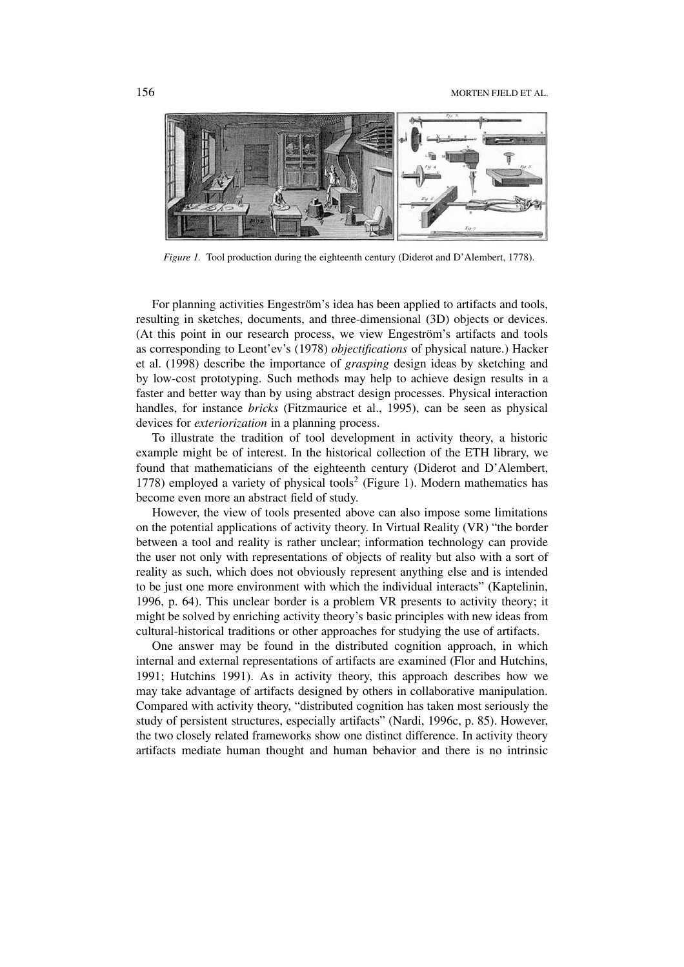

*Figure 1.* Tool production during the eighteenth century (Diderot and D'Alembert, 1778).

For planning activities Engeström's idea has been applied to artifacts and tools, resulting in sketches, documents, and three-dimensional (3D) objects or devices. (At this point in our research process, we view Engeström's artifacts and tools as corresponding to Leont'ev's (1978) *objectifications* of physical nature.) Hacker et al. (1998) describe the importance of *grasping* design ideas by sketching and by low-cost prototyping. Such methods may help to achieve design results in a faster and better way than by using abstract design processes. Physical interaction handles, for instance *bricks* (Fitzmaurice et al., 1995), can be seen as physical devices for *exteriorization* in a planning process.

To illustrate the tradition of tool development in activity theory, a historic example might be of interest. In the historical collection of the ETH library, we found that mathematicians of the eighteenth century (Diderot and D'Alembert, 1778) employed a variety of physical tools<sup>2</sup> (Figure 1). Modern mathematics has become even more an abstract field of study.

However, the view of tools presented above can also impose some limitations on the potential applications of activity theory. In Virtual Reality (VR) "the border between a tool and reality is rather unclear; information technology can provide the user not only with representations of objects of reality but also with a sort of reality as such, which does not obviously represent anything else and is intended to be just one more environment with which the individual interacts" (Kaptelinin, 1996, p. 64). This unclear border is a problem VR presents to activity theory; it might be solved by enriching activity theory's basic principles with new ideas from cultural-historical traditions or other approaches for studying the use of artifacts.

One answer may be found in the distributed cognition approach, in which internal and external representations of artifacts are examined (Flor and Hutchins, 1991; Hutchins 1991). As in activity theory, this approach describes how we may take advantage of artifacts designed by others in collaborative manipulation. Compared with activity theory, "distributed cognition has taken most seriously the study of persistent structures, especially artifacts" (Nardi, 1996c, p. 85). However, the two closely related frameworks show one distinct difference. In activity theory artifacts mediate human thought and human behavior and there is no intrinsic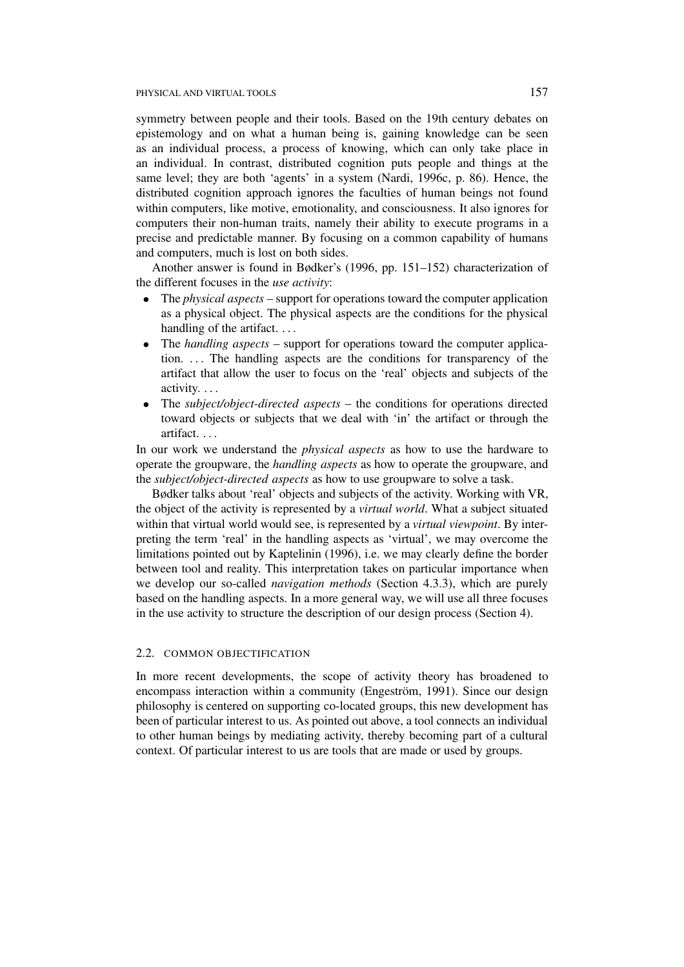#### PHYSICAL AND VIRTUAL TOOLS 157

symmetry between people and their tools. Based on the 19th century debates on epistemology and on what a human being is, gaining knowledge can be seen as an individual process, a process of knowing, which can only take place in an individual. In contrast, distributed cognition puts people and things at the same level; they are both 'agents' in a system (Nardi, 1996c, p. 86). Hence, the distributed cognition approach ignores the faculties of human beings not found within computers, like motive, emotionality, and consciousness. It also ignores for computers their non-human traits, namely their ability to execute programs in a precise and predictable manner. By focusing on a common capability of humans and computers, much is lost on both sides.

Another answer is found in Bødker's (1996, pp. 151–152) characterization of the different focuses in the *use activity*:

- The *physical aspects* support for operations toward the computer application as a physical object. The physical aspects are the conditions for the physical handling of the artifact. *...*
- The *handling aspects* support for operations toward the computer application. *...* The handling aspects are the conditions for transparency of the artifact that allow the user to focus on the 'real' objects and subjects of the activity. *...*
- The *subject/object-directed aspects* the conditions for operations directed toward objects or subjects that we deal with 'in' the artifact or through the artifact. *...*

In our work we understand the *physical aspects* as how to use the hardware to operate the groupware, the *handling aspects* as how to operate the groupware, and the *subject/object-directed aspects* as how to use groupware to solve a task.

Bødker talks about 'real' objects and subjects of the activity. Working with VR, the object of the activity is represented by a *virtual world*. What a subject situated within that virtual world would see, is represented by a *virtual viewpoint*. By interpreting the term 'real' in the handling aspects as 'virtual', we may overcome the limitations pointed out by Kaptelinin (1996), i.e. we may clearly define the border between tool and reality. This interpretation takes on particular importance when we develop our so-called *navigation methods* (Section 4.3.3), which are purely based on the handling aspects. In a more general way, we will use all three focuses in the use activity to structure the description of our design process (Section 4).

#### 2.2. COMMON OBJECTIFICATION

In more recent developments, the scope of activity theory has broadened to encompass interaction within a community (Engeström, 1991). Since our design philosophy is centered on supporting co-located groups, this new development has been of particular interest to us. As pointed out above, a tool connects an individual to other human beings by mediating activity, thereby becoming part of a cultural context. Of particular interest to us are tools that are made or used by groups.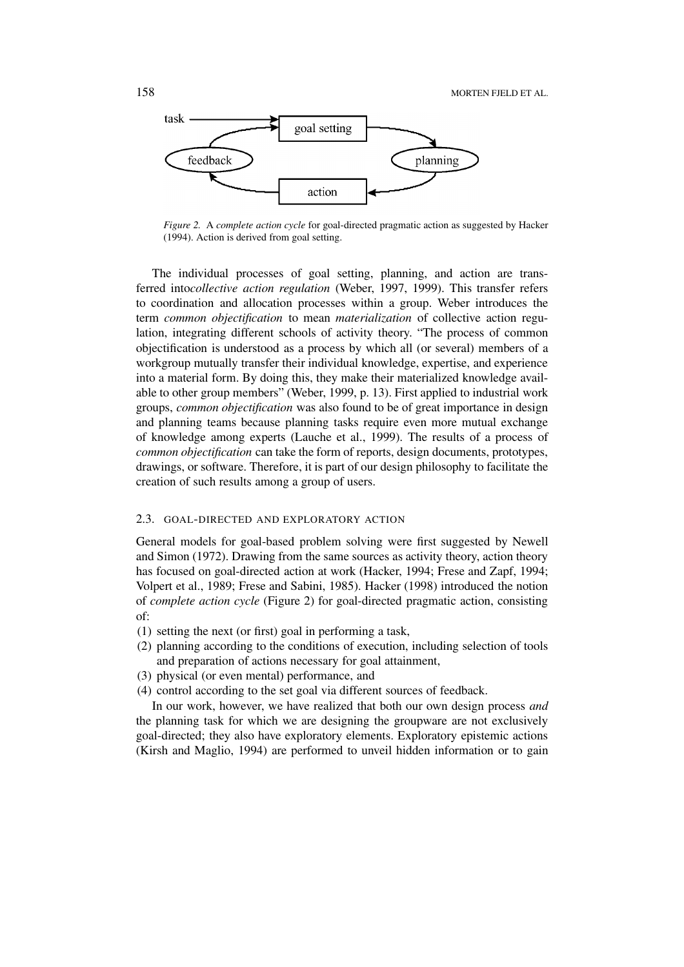

*Figure 2.* A *complete action cycle* for goal-directed pragmatic action as suggested by Hacker (1994). Action is derived from goal setting.

The individual processes of goal setting, planning, and action are transferred into*collective action regulation* (Weber, 1997, 1999). This transfer refers to coordination and allocation processes within a group. Weber introduces the term *common objectification* to mean *materialization* of collective action regulation, integrating different schools of activity theory. "The process of common objectification is understood as a process by which all (or several) members of a workgroup mutually transfer their individual knowledge, expertise, and experience into a material form. By doing this, they make their materialized knowledge available to other group members" (Weber, 1999, p. 13). First applied to industrial work groups, *common objectification* was also found to be of great importance in design and planning teams because planning tasks require even more mutual exchange of knowledge among experts (Lauche et al., 1999). The results of a process of *common objectification* can take the form of reports, design documents, prototypes, drawings, or software. Therefore, it is part of our design philosophy to facilitate the creation of such results among a group of users.

#### 2.3. GOAL-DIRECTED AND EXPLORATORY ACTION

General models for goal-based problem solving were first suggested by Newell and Simon (1972). Drawing from the same sources as activity theory, action theory has focused on goal-directed action at work (Hacker, 1994; Frese and Zapf, 1994; Volpert et al., 1989; Frese and Sabini, 1985). Hacker (1998) introduced the notion of *complete action cycle* (Figure 2) for goal-directed pragmatic action, consisting of:

- (1) setting the next (or first) goal in performing a task,
- (2) planning according to the conditions of execution, including selection of tools and preparation of actions necessary for goal attainment,
- (3) physical (or even mental) performance, and
- (4) control according to the set goal via different sources of feedback.

In our work, however, we have realized that both our own design process *and* the planning task for which we are designing the groupware are not exclusively goal-directed; they also have exploratory elements. Exploratory epistemic actions (Kirsh and Maglio, 1994) are performed to unveil hidden information or to gain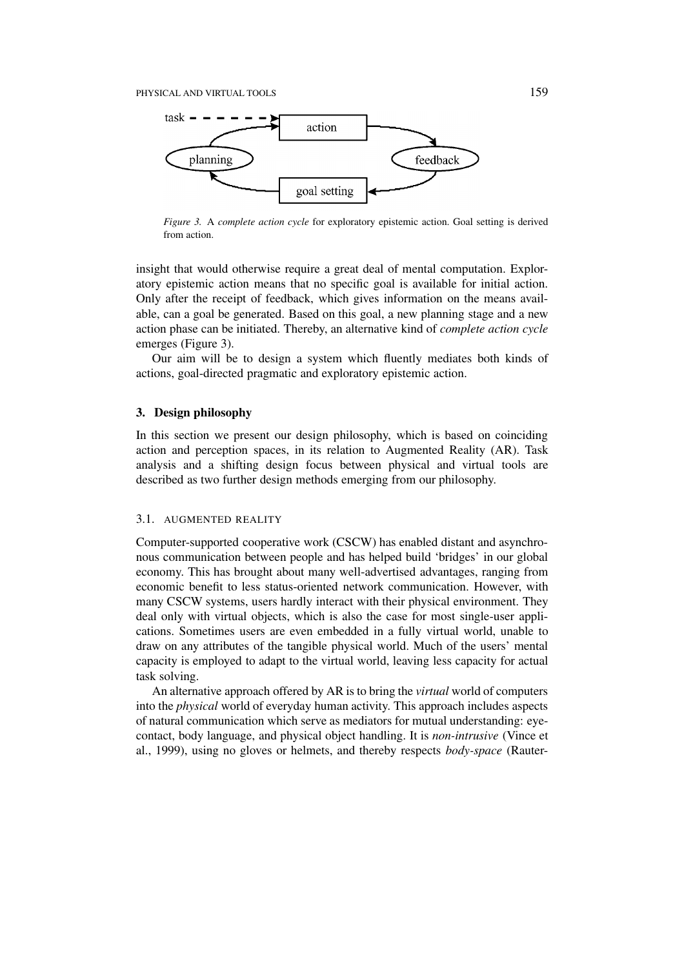

*Figure 3.* A *complete action cycle* for exploratory epistemic action. Goal setting is derived from action.

insight that would otherwise require a great deal of mental computation. Exploratory epistemic action means that no specific goal is available for initial action. Only after the receipt of feedback, which gives information on the means available, can a goal be generated. Based on this goal, a new planning stage and a new action phase can be initiated. Thereby, an alternative kind of *complete action cycle* emerges (Figure 3).

Our aim will be to design a system which fluently mediates both kinds of actions, goal-directed pragmatic and exploratory epistemic action.

#### **3. Design philosophy**

In this section we present our design philosophy, which is based on coinciding action and perception spaces, in its relation to Augmented Reality (AR). Task analysis and a shifting design focus between physical and virtual tools are described as two further design methods emerging from our philosophy.

## 3.1. AUGMENTED REALITY

Computer-supported cooperative work (CSCW) has enabled distant and asynchronous communication between people and has helped build 'bridges' in our global economy. This has brought about many well-advertised advantages, ranging from economic benefit to less status-oriented network communication. However, with many CSCW systems, users hardly interact with their physical environment. They deal only with virtual objects, which is also the case for most single-user applications. Sometimes users are even embedded in a fully virtual world, unable to draw on any attributes of the tangible physical world. Much of the users' mental capacity is employed to adapt to the virtual world, leaving less capacity for actual task solving.

An alternative approach offered by AR is to bring the *virtual* world of computers into the *physical* world of everyday human activity. This approach includes aspects of natural communication which serve as mediators for mutual understanding: eyecontact, body language, and physical object handling. It is *non-intrusive* (Vince et al., 1999), using no gloves or helmets, and thereby respects *body-space* (Rauter-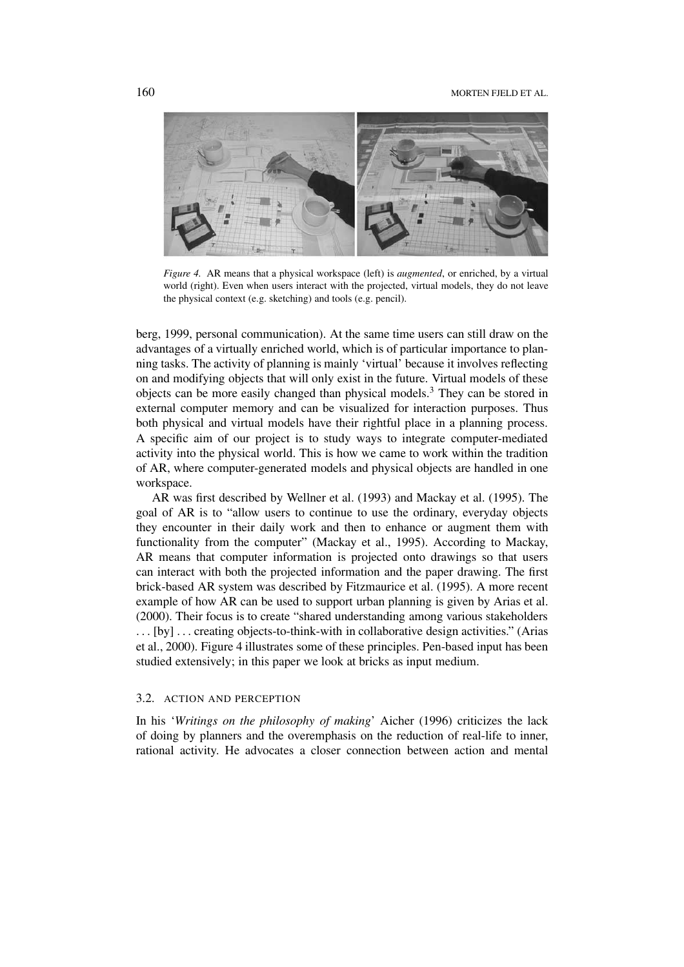

*Figure 4.* AR means that a physical workspace (left) is *augmented*, or enriched, by a virtual world (right). Even when users interact with the projected, virtual models, they do not leave the physical context (e.g. sketching) and tools (e.g. pencil).

berg, 1999, personal communication). At the same time users can still draw on the advantages of a virtually enriched world, which is of particular importance to planning tasks. The activity of planning is mainly 'virtual' because it involves reflecting on and modifying objects that will only exist in the future. Virtual models of these objects can be more easily changed than physical models.3 They can be stored in external computer memory and can be visualized for interaction purposes. Thus both physical and virtual models have their rightful place in a planning process. A specific aim of our project is to study ways to integrate computer-mediated activity into the physical world. This is how we came to work within the tradition of AR, where computer-generated models and physical objects are handled in one workspace.

AR was first described by Wellner et al. (1993) and Mackay et al. (1995). The goal of AR is to "allow users to continue to use the ordinary, everyday objects they encounter in their daily work and then to enhance or augment them with functionality from the computer" (Mackay et al., 1995). According to Mackay, AR means that computer information is projected onto drawings so that users can interact with both the projected information and the paper drawing. The first brick-based AR system was described by Fitzmaurice et al. (1995). A more recent example of how AR can be used to support urban planning is given by Arias et al. (2000). Their focus is to create "shared understanding among various stakeholders *...* [by] *...* creating objects-to-think-with in collaborative design activities." (Arias et al., 2000). Figure 4 illustrates some of these principles. Pen-based input has been studied extensively; in this paper we look at bricks as input medium.

#### 3.2. ACTION AND PERCEPTION

In his '*Writings on the philosophy of making*' Aicher (1996) criticizes the lack of doing by planners and the overemphasis on the reduction of real-life to inner, rational activity. He advocates a closer connection between action and mental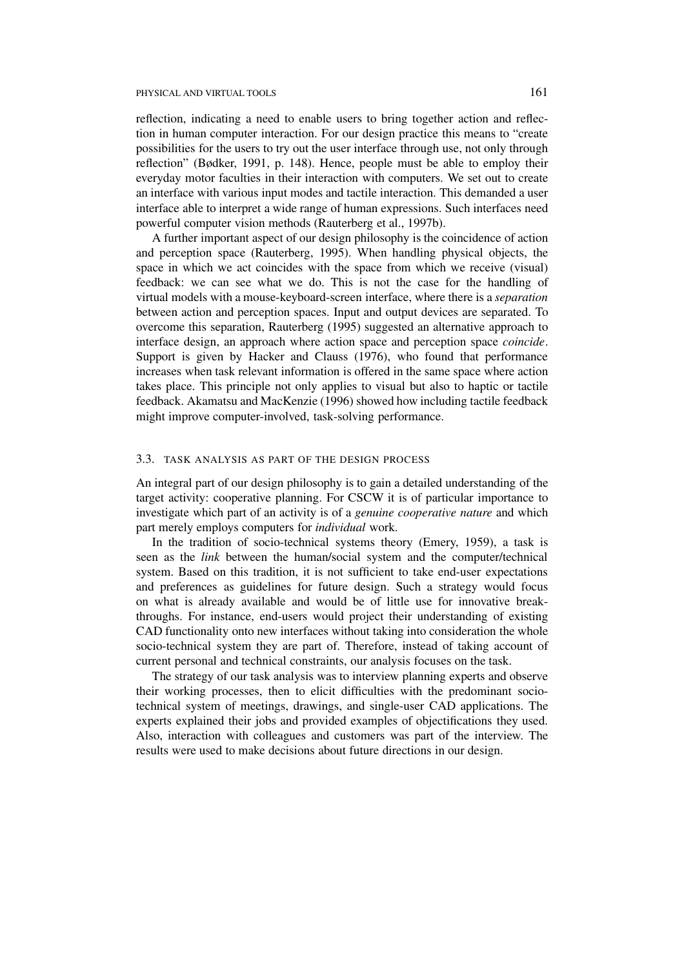#### PHYSICAL AND VIRTUAL TOOLS 161

reflection, indicating a need to enable users to bring together action and reflection in human computer interaction. For our design practice this means to "create possibilities for the users to try out the user interface through use, not only through reflection" (Bødker, 1991, p. 148). Hence, people must be able to employ their everyday motor faculties in their interaction with computers. We set out to create an interface with various input modes and tactile interaction. This demanded a user interface able to interpret a wide range of human expressions. Such interfaces need powerful computer vision methods (Rauterberg et al., 1997b).

A further important aspect of our design philosophy is the coincidence of action and perception space (Rauterberg, 1995). When handling physical objects, the space in which we act coincides with the space from which we receive (visual) feedback: we can see what we do. This is not the case for the handling of virtual models with a mouse-keyboard-screen interface, where there is a *separation* between action and perception spaces. Input and output devices are separated. To overcome this separation, Rauterberg (1995) suggested an alternative approach to interface design, an approach where action space and perception space *coincide*. Support is given by Hacker and Clauss (1976), who found that performance increases when task relevant information is offered in the same space where action takes place. This principle not only applies to visual but also to haptic or tactile feedback. Akamatsu and MacKenzie (1996) showed how including tactile feedback might improve computer-involved, task-solving performance.

#### 3.3. TASK ANALYSIS AS PART OF THE DESIGN PROCESS

An integral part of our design philosophy is to gain a detailed understanding of the target activity: cooperative planning. For CSCW it is of particular importance to investigate which part of an activity is of a *genuine cooperative nature* and which part merely employs computers for *individual* work.

In the tradition of socio-technical systems theory (Emery, 1959), a task is seen as the *link* between the human/social system and the computer/technical system. Based on this tradition, it is not sufficient to take end-user expectations and preferences as guidelines for future design. Such a strategy would focus on what is already available and would be of little use for innovative breakthroughs. For instance, end-users would project their understanding of existing CAD functionality onto new interfaces without taking into consideration the whole socio-technical system they are part of. Therefore, instead of taking account of current personal and technical constraints, our analysis focuses on the task.

The strategy of our task analysis was to interview planning experts and observe their working processes, then to elicit difficulties with the predominant sociotechnical system of meetings, drawings, and single-user CAD applications. The experts explained their jobs and provided examples of objectifications they used. Also, interaction with colleagues and customers was part of the interview. The results were used to make decisions about future directions in our design.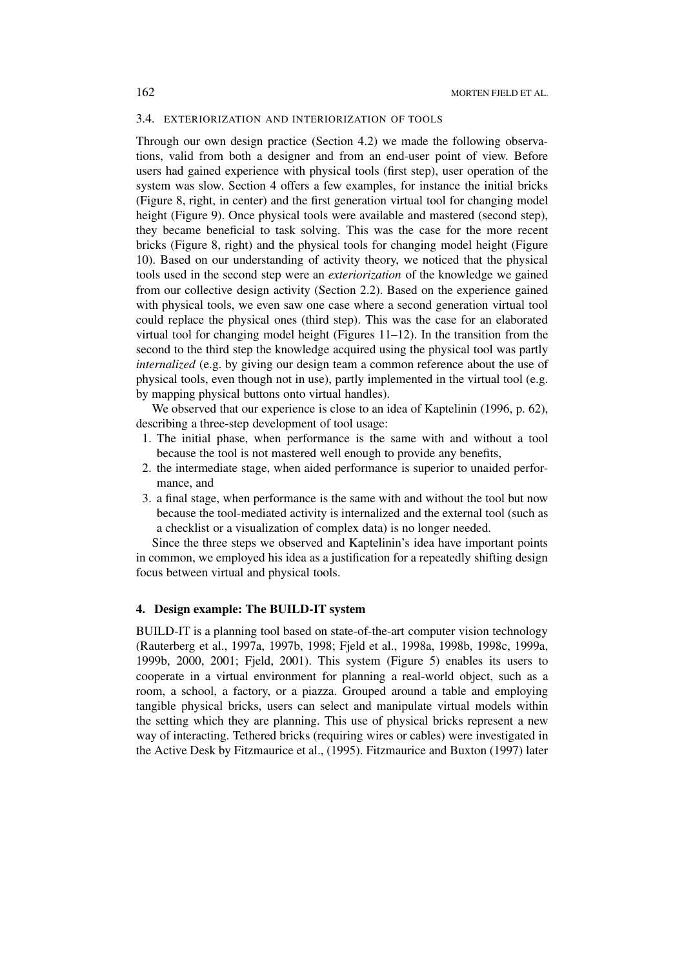#### 3.4. EXTERIORIZATION AND INTERIORIZATION OF TOOLS

Through our own design practice (Section 4.2) we made the following observations, valid from both a designer and from an end-user point of view. Before users had gained experience with physical tools (first step), user operation of the system was slow. Section 4 offers a few examples, for instance the initial bricks (Figure 8, right, in center) and the first generation virtual tool for changing model height (Figure 9). Once physical tools were available and mastered (second step), they became beneficial to task solving. This was the case for the more recent bricks (Figure 8, right) and the physical tools for changing model height (Figure 10). Based on our understanding of activity theory, we noticed that the physical tools used in the second step were an *exteriorization* of the knowledge we gained from our collective design activity (Section 2.2). Based on the experience gained with physical tools, we even saw one case where a second generation virtual tool could replace the physical ones (third step). This was the case for an elaborated virtual tool for changing model height (Figures 11–12). In the transition from the second to the third step the knowledge acquired using the physical tool was partly *internalized* (e.g. by giving our design team a common reference about the use of physical tools, even though not in use), partly implemented in the virtual tool (e.g. by mapping physical buttons onto virtual handles).

We observed that our experience is close to an idea of Kaptelinin (1996, p. 62), describing a three-step development of tool usage:

- 1. The initial phase, when performance is the same with and without a tool because the tool is not mastered well enough to provide any benefits,
- 2. the intermediate stage, when aided performance is superior to unaided performance, and
- 3. a final stage, when performance is the same with and without the tool but now because the tool-mediated activity is internalized and the external tool (such as a checklist or a visualization of complex data) is no longer needed.

Since the three steps we observed and Kaptelinin's idea have important points in common, we employed his idea as a justification for a repeatedly shifting design focus between virtual and physical tools.

#### **4. Design example: The BUILD-IT system**

BUILD-IT is a planning tool based on state-of-the-art computer vision technology (Rauterberg et al., 1997a, 1997b, 1998; Fjeld et al., 1998a, 1998b, 1998c, 1999a, 1999b, 2000, 2001; Fjeld, 2001). This system (Figure 5) enables its users to cooperate in a virtual environment for planning a real-world object, such as a room, a school, a factory, or a piazza. Grouped around a table and employing tangible physical bricks, users can select and manipulate virtual models within the setting which they are planning. This use of physical bricks represent a new way of interacting. Tethered bricks (requiring wires or cables) were investigated in the Active Desk by Fitzmaurice et al., (1995). Fitzmaurice and Buxton (1997) later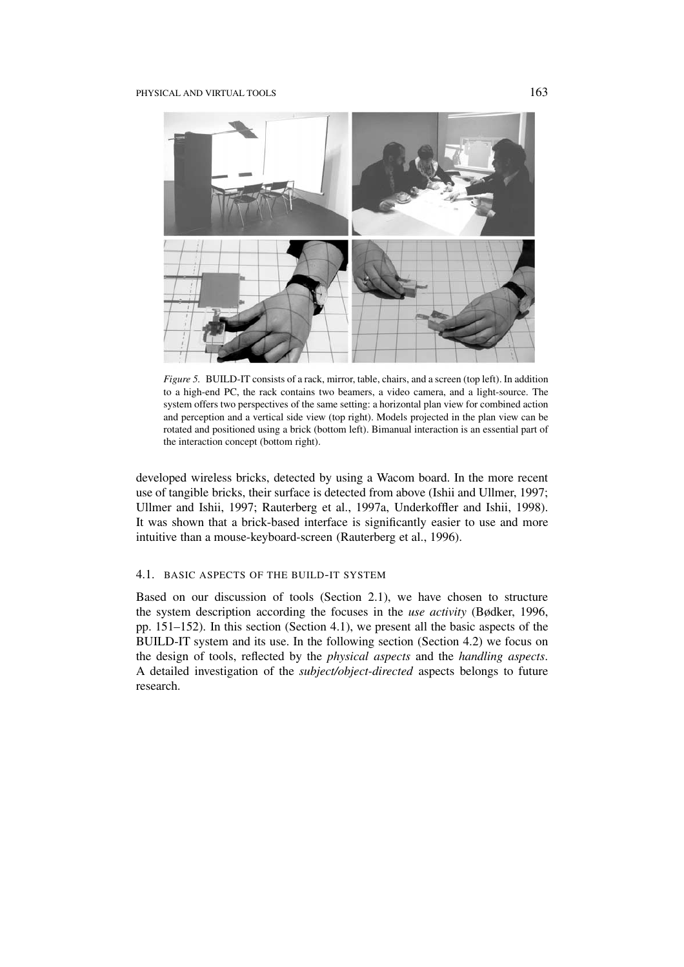

*Figure 5.* BUILD-IT consists of a rack, mirror, table, chairs, and a screen (top left). In addition to a high-end PC, the rack contains two beamers, a video camera, and a light-source. The system offers two perspectives of the same setting: a horizontal plan view for combined action and perception and a vertical side view (top right). Models projected in the plan view can be rotated and positioned using a brick (bottom left). Bimanual interaction is an essential part of the interaction concept (bottom right).

developed wireless bricks, detected by using a Wacom board. In the more recent use of tangible bricks, their surface is detected from above (Ishii and Ullmer, 1997; Ullmer and Ishii, 1997; Rauterberg et al., 1997a, Underkoffler and Ishii, 1998). It was shown that a brick-based interface is significantly easier to use and more intuitive than a mouse-keyboard-screen (Rauterberg et al., 1996).

## 4.1. BASIC ASPECTS OF THE BUILD-IT SYSTEM

Based on our discussion of tools (Section 2.1), we have chosen to structure the system description according the focuses in the *use activity* (Bødker, 1996, pp. 151–152). In this section (Section 4.1), we present all the basic aspects of the BUILD-IT system and its use. In the following section (Section 4.2) we focus on the design of tools, reflected by the *physical aspects* and the *handling aspects*. A detailed investigation of the *subject/object-directed* aspects belongs to future research.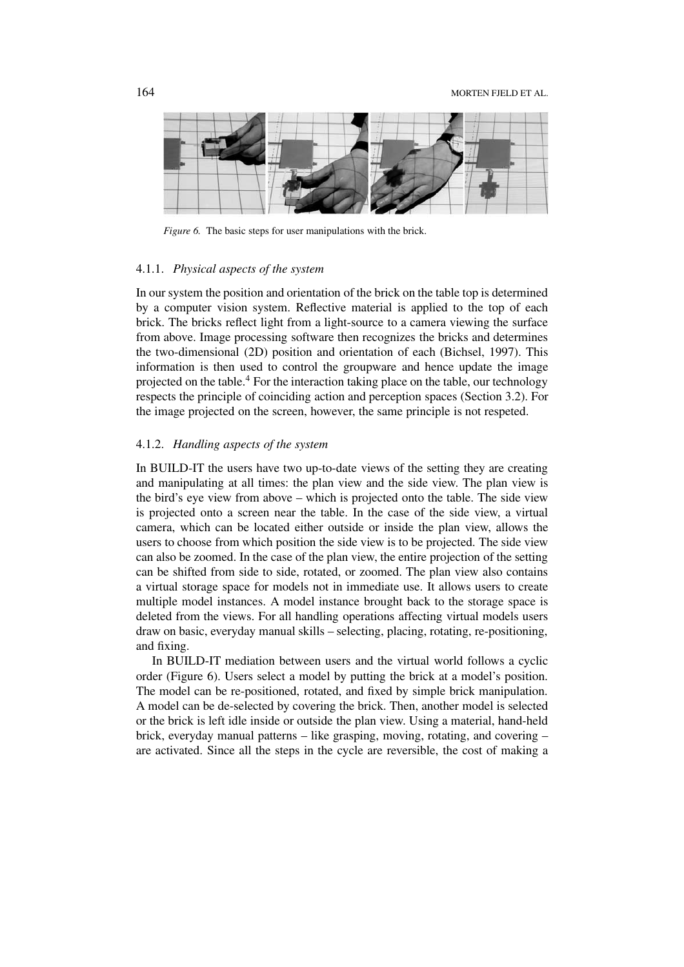

*Figure 6.* The basic steps for user manipulations with the brick.

#### 4.1.1. *Physical aspects of the system*

In our system the position and orientation of the brick on the table top is determined by a computer vision system. Reflective material is applied to the top of each brick. The bricks reflect light from a light-source to a camera viewing the surface from above. Image processing software then recognizes the bricks and determines the two-dimensional (2D) position and orientation of each (Bichsel, 1997). This information is then used to control the groupware and hence update the image projected on the table.<sup>4</sup> For the interaction taking place on the table, our technology respects the principle of coinciding action and perception spaces (Section 3.2). For the image projected on the screen, however, the same principle is not respeted.

#### 4.1.2. *Handling aspects of the system*

In BUILD-IT the users have two up-to-date views of the setting they are creating and manipulating at all times: the plan view and the side view. The plan view is the bird's eye view from above – which is projected onto the table. The side view is projected onto a screen near the table. In the case of the side view, a virtual camera, which can be located either outside or inside the plan view, allows the users to choose from which position the side view is to be projected. The side view can also be zoomed. In the case of the plan view, the entire projection of the setting can be shifted from side to side, rotated, or zoomed. The plan view also contains a virtual storage space for models not in immediate use. It allows users to create multiple model instances. A model instance brought back to the storage space is deleted from the views. For all handling operations affecting virtual models users draw on basic, everyday manual skills – selecting, placing, rotating, re-positioning, and fixing.

In BUILD-IT mediation between users and the virtual world follows a cyclic order (Figure 6). Users select a model by putting the brick at a model's position. The model can be re-positioned, rotated, and fixed by simple brick manipulation. A model can be de-selected by covering the brick. Then, another model is selected or the brick is left idle inside or outside the plan view. Using a material, hand-held brick, everyday manual patterns – like grasping, moving, rotating, and covering – are activated. Since all the steps in the cycle are reversible, the cost of making a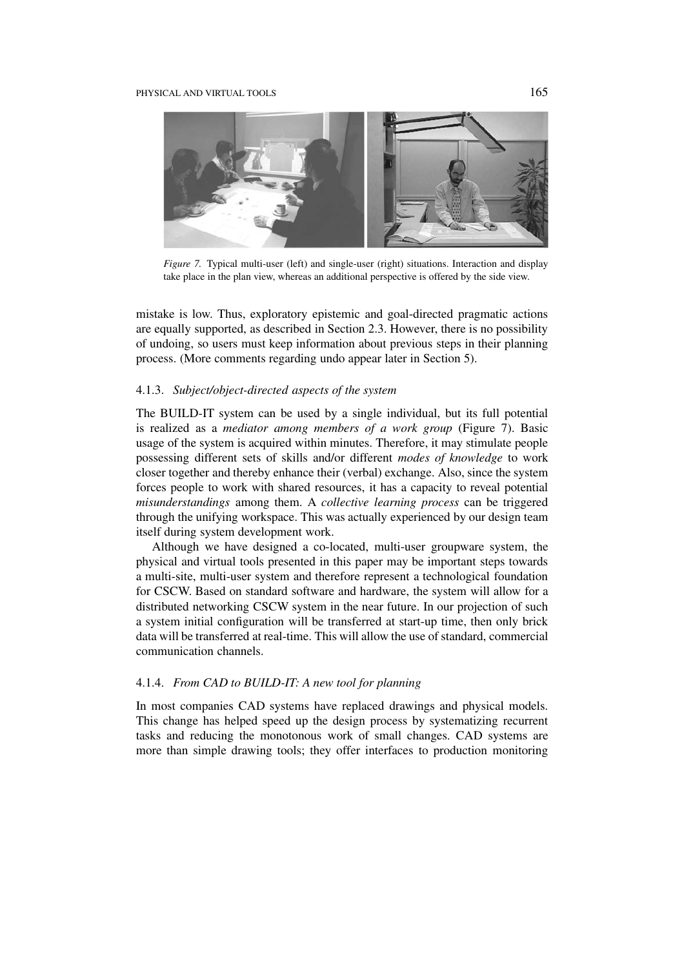#### PHYSICAL AND VIRTUAL TOOLS 165



*Figure 7.* Typical multi-user (left) and single-user (right) situations. Interaction and display take place in the plan view, whereas an additional perspective is offered by the side view.

mistake is low. Thus, exploratory epistemic and goal-directed pragmatic actions are equally supported, as described in Section 2.3. However, there is no possibility of undoing, so users must keep information about previous steps in their planning process. (More comments regarding undo appear later in Section 5).

#### 4.1.3. *Subject/object-directed aspects of the system*

The BUILD-IT system can be used by a single individual, but its full potential is realized as a *mediator among members of a work group* (Figure 7). Basic usage of the system is acquired within minutes. Therefore, it may stimulate people possessing different sets of skills and/or different *modes of knowledge* to work closer together and thereby enhance their (verbal) exchange. Also, since the system forces people to work with shared resources, it has a capacity to reveal potential *misunderstandings* among them. A *collective learning process* can be triggered through the unifying workspace. This was actually experienced by our design team itself during system development work.

Although we have designed a co-located, multi-user groupware system, the physical and virtual tools presented in this paper may be important steps towards a multi-site, multi-user system and therefore represent a technological foundation for CSCW. Based on standard software and hardware, the system will allow for a distributed networking CSCW system in the near future. In our projection of such a system initial configuration will be transferred at start-up time, then only brick data will be transferred at real-time. This will allow the use of standard, commercial communication channels.

# 4.1.4. *From CAD to BUILD-IT: A new tool for planning*

In most companies CAD systems have replaced drawings and physical models. This change has helped speed up the design process by systematizing recurrent tasks and reducing the monotonous work of small changes. CAD systems are more than simple drawing tools; they offer interfaces to production monitoring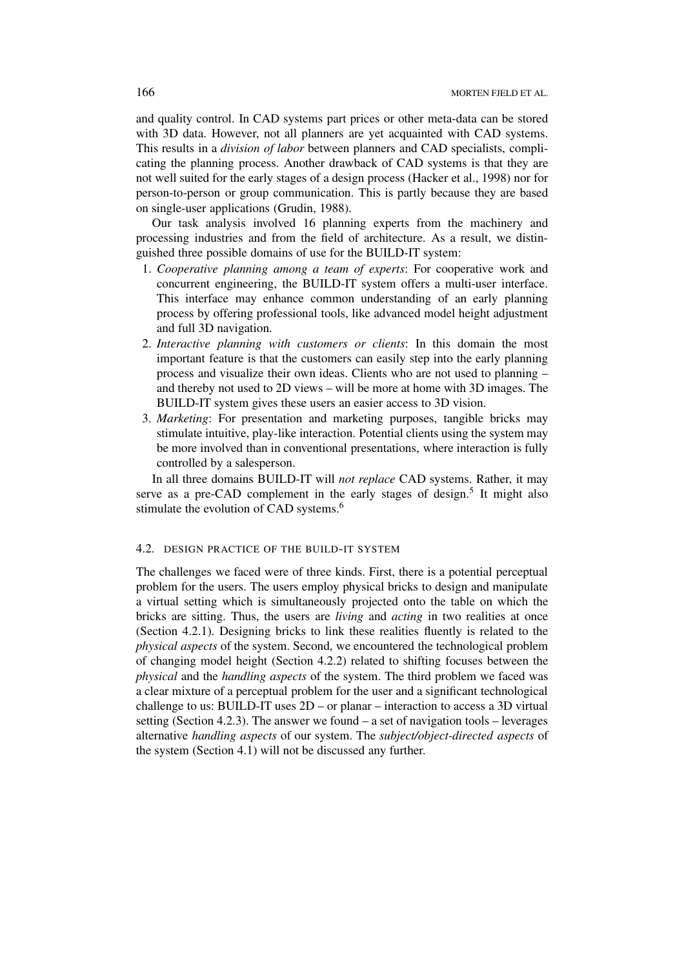and quality control. In CAD systems part prices or other meta-data can be stored with 3D data. However, not all planners are yet acquainted with CAD systems. This results in a *division of labor* between planners and CAD specialists, complicating the planning process. Another drawback of CAD systems is that they are not well suited for the early stages of a design process (Hacker et al., 1998) nor for person-to-person or group communication. This is partly because they are based on single-user applications (Grudin, 1988).

Our task analysis involved 16 planning experts from the machinery and processing industries and from the field of architecture. As a result, we distinguished three possible domains of use for the BUILD-IT system:

- 1. *Cooperative planning among a team of experts*: For cooperative work and concurrent engineering, the BUILD-IT system offers a multi-user interface. This interface may enhance common understanding of an early planning process by offering professional tools, like advanced model height adjustment and full 3D navigation.
- 2. *Interactive planning with customers or clients*: In this domain the most important feature is that the customers can easily step into the early planning process and visualize their own ideas. Clients who are not used to planning – and thereby not used to 2D views – will be more at home with 3D images. The BUILD-IT system gives these users an easier access to 3D vision.
- 3. *Marketing*: For presentation and marketing purposes, tangible bricks may stimulate intuitive, play-like interaction. Potential clients using the system may be more involved than in conventional presentations, where interaction is fully controlled by a salesperson.

In all three domains BUILD-IT will *not replace* CAD systems. Rather, it may serve as a pre-CAD complement in the early stages of design.<sup>5</sup> It might also stimulate the evolution of CAD systems.<sup>6</sup>

#### 4.2. DESIGN PRACTICE OF THE BUILD-IT SYSTEM

The challenges we faced were of three kinds. First, there is a potential perceptual problem for the users. The users employ physical bricks to design and manipulate a virtual setting which is simultaneously projected onto the table on which the bricks are sitting. Thus, the users are *living* and *acting* in two realities at once (Section 4.2.1). Designing bricks to link these realities fluently is related to the *physical aspects* of the system. Second, we encountered the technological problem of changing model height (Section 4.2.2) related to shifting focuses between the *physical* and the *handling aspects* of the system. The third problem we faced was a clear mixture of a perceptual problem for the user and a significant technological challenge to us: BUILD-IT uses 2D – or planar – interaction to access a 3D virtual setting (Section 4.2.3). The answer we found – a set of navigation tools – leverages alternative *handling aspects* of our system. The *subject/object-directed aspects* of the system (Section 4.1) will not be discussed any further.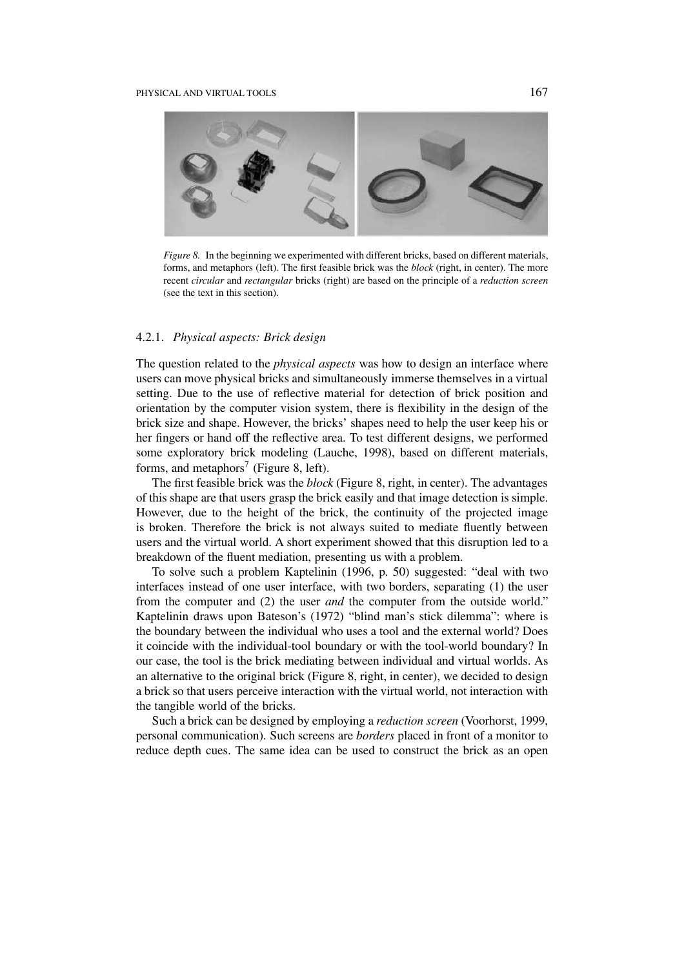

*Figure 8.* In the beginning we experimented with different bricks, based on different materials, forms, and metaphors (left). The first feasible brick was the *block* (right, in center). The more recent *circular* and *rectangular* bricks (right) are based on the principle of a *reduction screen* (see the text in this section).

#### 4.2.1. *Physical aspects: Brick design*

The question related to the *physical aspects* was how to design an interface where users can move physical bricks and simultaneously immerse themselves in a virtual setting. Due to the use of reflective material for detection of brick position and orientation by the computer vision system, there is flexibility in the design of the brick size and shape. However, the bricks' shapes need to help the user keep his or her fingers or hand off the reflective area. To test different designs, we performed some exploratory brick modeling (Lauche, 1998), based on different materials, forms, and metaphors<sup>7</sup> (Figure 8, left).

The first feasible brick was the *block* (Figure 8, right, in center). The advantages of this shape are that users grasp the brick easily and that image detection is simple. However, due to the height of the brick, the continuity of the projected image is broken. Therefore the brick is not always suited to mediate fluently between users and the virtual world. A short experiment showed that this disruption led to a breakdown of the fluent mediation, presenting us with a problem.

To solve such a problem Kaptelinin (1996, p. 50) suggested: "deal with two interfaces instead of one user interface, with two borders, separating (1) the user from the computer and (2) the user *and* the computer from the outside world." Kaptelinin draws upon Bateson's (1972) "blind man's stick dilemma": where is the boundary between the individual who uses a tool and the external world? Does it coincide with the individual-tool boundary or with the tool-world boundary? In our case, the tool is the brick mediating between individual and virtual worlds. As an alternative to the original brick (Figure 8, right, in center), we decided to design a brick so that users perceive interaction with the virtual world, not interaction with the tangible world of the bricks.

Such a brick can be designed by employing a *reduction screen* (Voorhorst, 1999, personal communication). Such screens are *borders* placed in front of a monitor to reduce depth cues. The same idea can be used to construct the brick as an open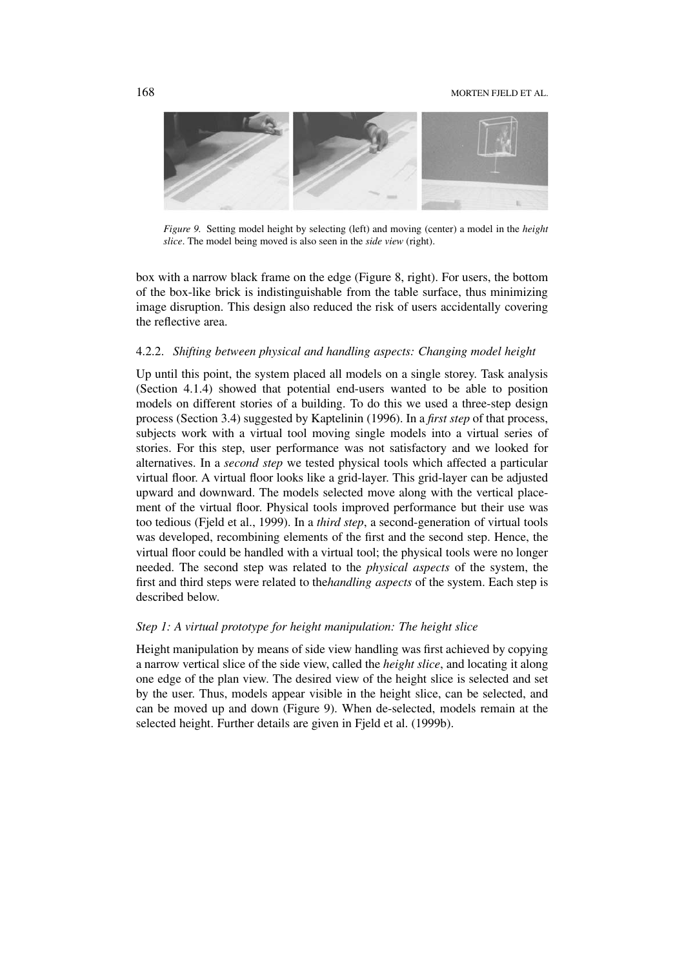

*Figure 9.* Setting model height by selecting (left) and moving (center) a model in the *height slice*. The model being moved is also seen in the *side view* (right).

box with a narrow black frame on the edge (Figure 8, right). For users, the bottom of the box-like brick is indistinguishable from the table surface, thus minimizing image disruption. This design also reduced the risk of users accidentally covering the reflective area.

#### 4.2.2. *Shifting between physical and handling aspects: Changing model height*

Up until this point, the system placed all models on a single storey. Task analysis (Section 4.1.4) showed that potential end-users wanted to be able to position models on different stories of a building. To do this we used a three-step design process (Section 3.4) suggested by Kaptelinin (1996). In a *first step* of that process, subjects work with a virtual tool moving single models into a virtual series of stories. For this step, user performance was not satisfactory and we looked for alternatives. In a *second step* we tested physical tools which affected a particular virtual floor. A virtual floor looks like a grid-layer. This grid-layer can be adjusted upward and downward. The models selected move along with the vertical placement of the virtual floor. Physical tools improved performance but their use was too tedious (Fjeld et al., 1999). In a *third step*, a second-generation of virtual tools was developed, recombining elements of the first and the second step. Hence, the virtual floor could be handled with a virtual tool; the physical tools were no longer needed. The second step was related to the *physical aspects* of the system, the first and third steps were related to the*handling aspects* of the system. Each step is described below.

## *Step 1: A virtual prototype for height manipulation: The height slice*

Height manipulation by means of side view handling was first achieved by copying a narrow vertical slice of the side view, called the *height slice*, and locating it along one edge of the plan view. The desired view of the height slice is selected and set by the user. Thus, models appear visible in the height slice, can be selected, and can be moved up and down (Figure 9). When de-selected, models remain at the selected height. Further details are given in Fjeld et al. (1999b).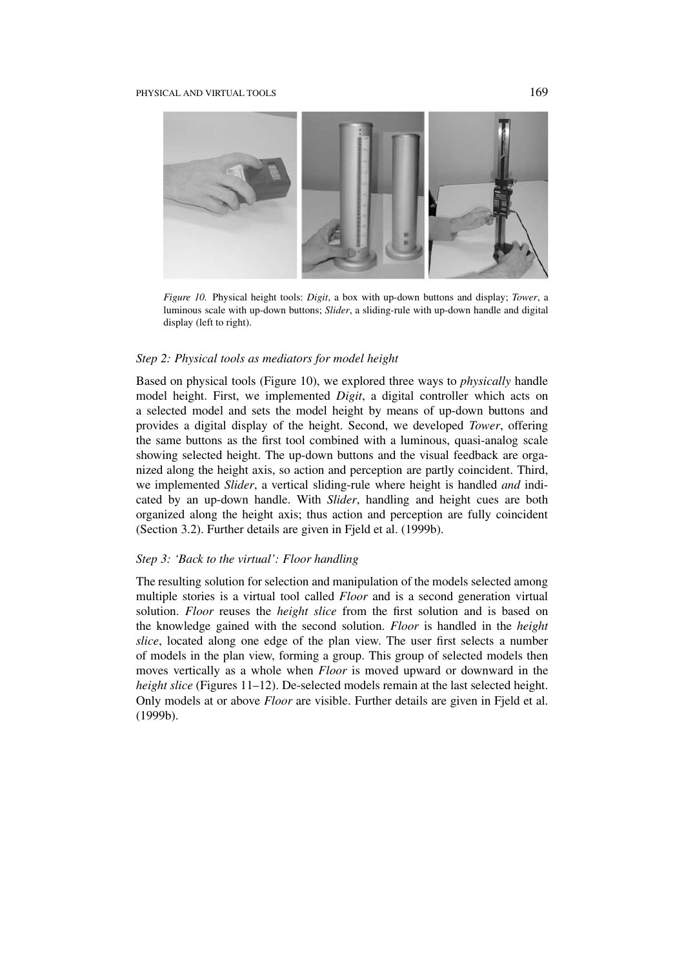![](_page_16_Picture_1.jpeg)

*Figure 10.* Physical height tools: *Digit*, a box with up-down buttons and display; *Tower*, a luminous scale with up-down buttons; *Slider*, a sliding-rule with up-down handle and digital display (left to right).

# *Step 2: Physical tools as mediators for model height*

Based on physical tools (Figure 10), we explored three ways to *physically* handle model height. First, we implemented *Digit*, a digital controller which acts on a selected model and sets the model height by means of up-down buttons and provides a digital display of the height. Second, we developed *Tower*, offering the same buttons as the first tool combined with a luminous, quasi-analog scale showing selected height. The up-down buttons and the visual feedback are organized along the height axis, so action and perception are partly coincident. Third, we implemented *Slider*, a vertical sliding-rule where height is handled *and* indicated by an up-down handle. With *Slider*, handling and height cues are both organized along the height axis; thus action and perception are fully coincident (Section 3.2). Further details are given in Fjeld et al. (1999b).

# *Step 3: 'Back to the virtual': Floor handling*

The resulting solution for selection and manipulation of the models selected among multiple stories is a virtual tool called *Floor* and is a second generation virtual solution. *Floor* reuses the *height slice* from the first solution and is based on the knowledge gained with the second solution. *Floor* is handled in the *height slice*, located along one edge of the plan view. The user first selects a number of models in the plan view, forming a group. This group of selected models then moves vertically as a whole when *Floor* is moved upward or downward in the *height slice* (Figures 11–12). De-selected models remain at the last selected height. Only models at or above *Floor* are visible. Further details are given in Fjeld et al. (1999b).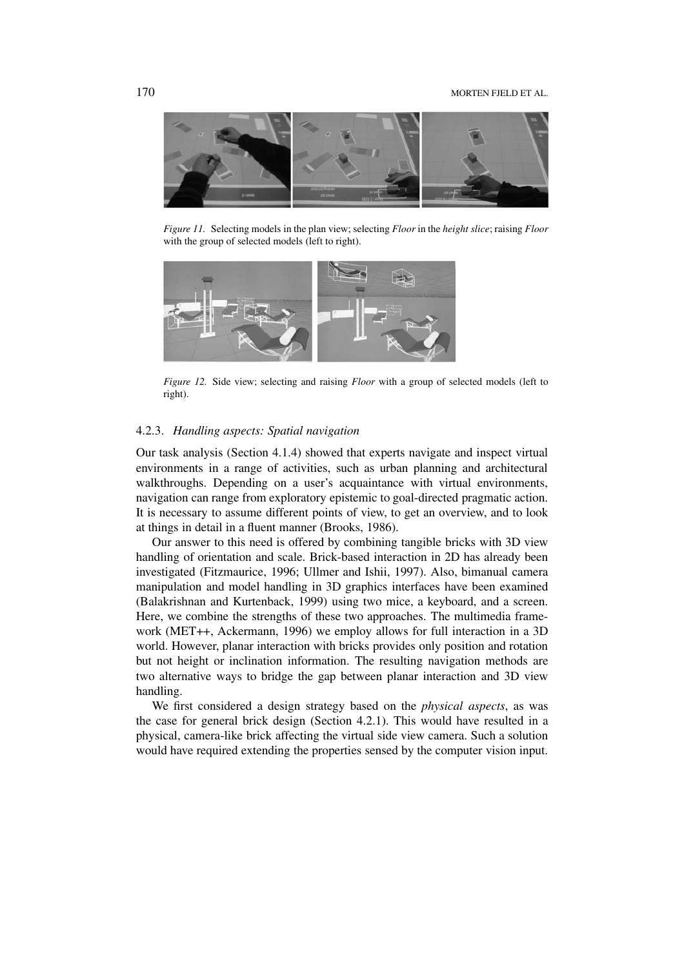![](_page_17_Picture_1.jpeg)

*Figure 11.* Selecting models in the plan view; selecting *Floor* in the *height slice*; raising *Floor* with the group of selected models (left to right).

![](_page_17_Figure_3.jpeg)

*Figure 12.* Side view; selecting and raising *Floor* with a group of selected models (left to right).

#### 4.2.3. *Handling aspects: Spatial navigation*

Our task analysis (Section 4.1.4) showed that experts navigate and inspect virtual environments in a range of activities, such as urban planning and architectural walkthroughs. Depending on a user's acquaintance with virtual environments, navigation can range from exploratory epistemic to goal-directed pragmatic action. It is necessary to assume different points of view, to get an overview, and to look at things in detail in a fluent manner (Brooks, 1986).

Our answer to this need is offered by combining tangible bricks with 3D view handling of orientation and scale. Brick-based interaction in 2D has already been investigated (Fitzmaurice, 1996; Ullmer and Ishii, 1997). Also, bimanual camera manipulation and model handling in 3D graphics interfaces have been examined (Balakrishnan and Kurtenback, 1999) using two mice, a keyboard, and a screen. Here, we combine the strengths of these two approaches. The multimedia framework (MET++, Ackermann, 1996) we employ allows for full interaction in a 3D world. However, planar interaction with bricks provides only position and rotation but not height or inclination information. The resulting navigation methods are two alternative ways to bridge the gap between planar interaction and 3D view handling.

We first considered a design strategy based on the *physical aspects*, as was the case for general brick design (Section 4.2.1). This would have resulted in a physical, camera-like brick affecting the virtual side view camera. Such a solution would have required extending the properties sensed by the computer vision input.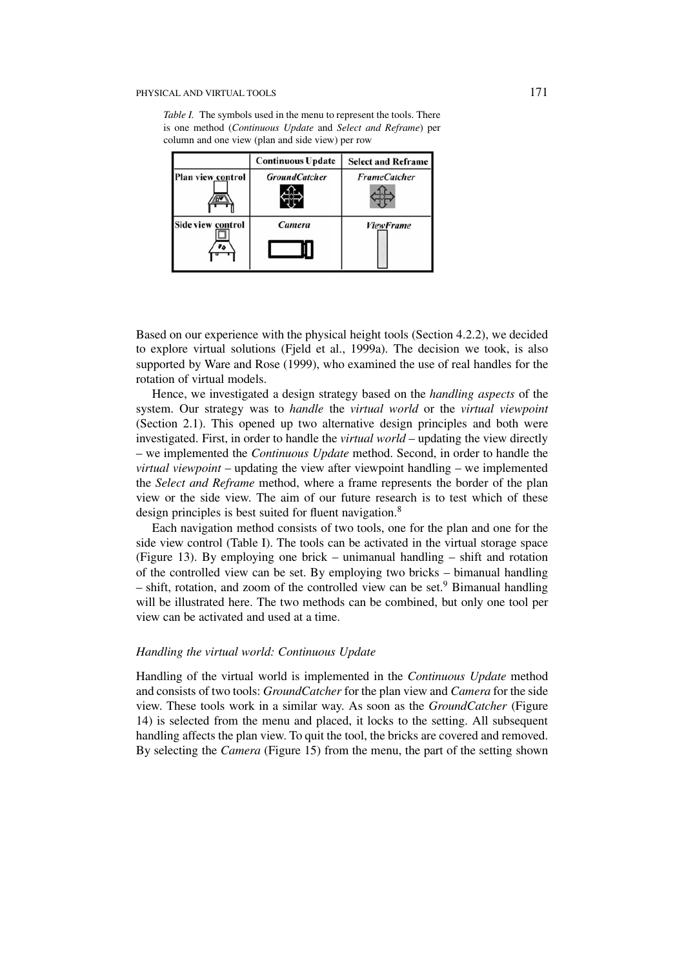#### PHYSICAL AND VIRTUAL TOOLS 171

*Table I.* The symbols used in the menu to represent the tools. There is one method (*Continuous Update* and *Select and Reframe*) per column and one view (plan and side view) per row

|                          | <b>Continuous Update</b> | <b>Select and Reframe</b> |
|--------------------------|--------------------------|---------------------------|
| Plan view control        | <b>GroundCatcher</b>     | <b>FrameCatcher</b>       |
| <b>Side view control</b> | Camera                   | <b>ViewFrame</b>          |

Based on our experience with the physical height tools (Section 4.2.2), we decided to explore virtual solutions (Fjeld et al., 1999a). The decision we took, is also supported by Ware and Rose (1999), who examined the use of real handles for the rotation of virtual models.

Hence, we investigated a design strategy based on the *handling aspects* of the system. Our strategy was to *handle* the *virtual world* or the *virtual viewpoint* (Section 2.1). This opened up two alternative design principles and both were investigated. First, in order to handle the *virtual world* – updating the view directly – we implemented the *Continuous Update* method. Second, in order to handle the *virtual viewpoint* – updating the view after viewpoint handling – we implemented the *Select and Reframe* method, where a frame represents the border of the plan view or the side view. The aim of our future research is to test which of these design principles is best suited for fluent navigation.<sup>8</sup>

Each navigation method consists of two tools, one for the plan and one for the side view control (Table I). The tools can be activated in the virtual storage space (Figure 13). By employing one brick – unimanual handling – shift and rotation of the controlled view can be set. By employing two bricks – bimanual handling  $-$  shift, rotation, and zoom of the controlled view can be set.<sup>9</sup> Bimanual handling will be illustrated here. The two methods can be combined, but only one tool per view can be activated and used at a time.

#### *Handling the virtual world: Continuous Update*

Handling of the virtual world is implemented in the *Continuous Update* method and consists of two tools: *GroundCatcher* for the plan view and *Camera* for the side view. These tools work in a similar way. As soon as the *GroundCatcher* (Figure 14) is selected from the menu and placed, it locks to the setting. All subsequent handling affects the plan view. To quit the tool, the bricks are covered and removed. By selecting the *Camera* (Figure 15) from the menu, the part of the setting shown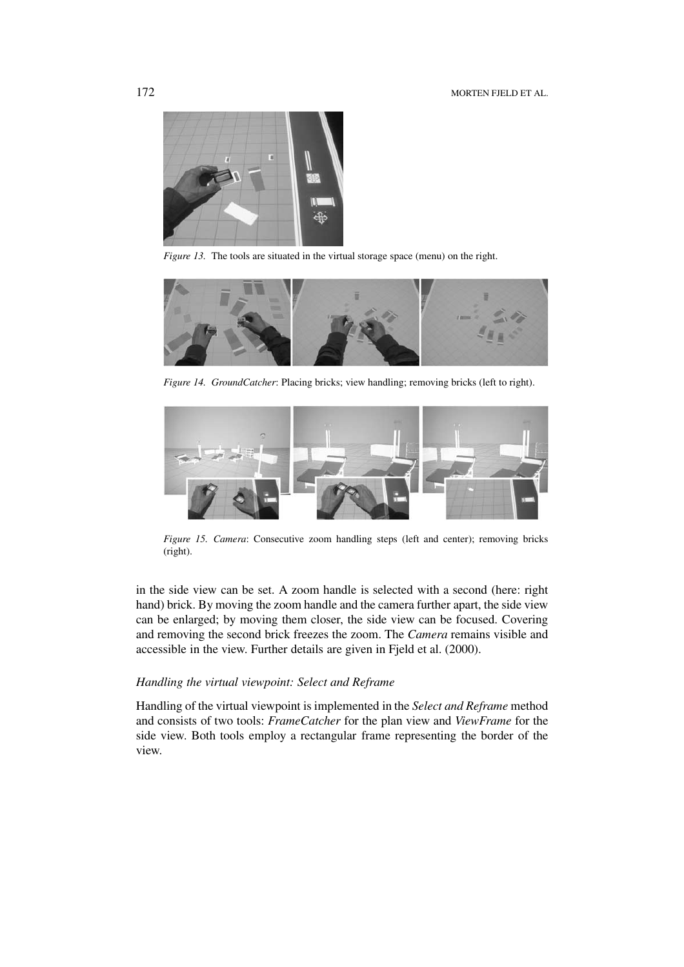![](_page_19_Picture_1.jpeg)

*Figure 13.* The tools are situated in the virtual storage space (menu) on the right.

![](_page_19_Picture_3.jpeg)

*Figure 14. GroundCatcher*: Placing bricks; view handling; removing bricks (left to right).

![](_page_19_Figure_5.jpeg)

*Figure 15. Camera*: Consecutive zoom handling steps (left and center); removing bricks (right).

in the side view can be set. A zoom handle is selected with a second (here: right hand) brick. By moving the zoom handle and the camera further apart, the side view can be enlarged; by moving them closer, the side view can be focused. Covering and removing the second brick freezes the zoom. The *Camera* remains visible and accessible in the view. Further details are given in Fjeld et al. (2000).

#### *Handling the virtual viewpoint: Select and Reframe*

Handling of the virtual viewpoint is implemented in the *Select and Reframe* method and consists of two tools: *FrameCatcher* for the plan view and *ViewFrame* for the side view. Both tools employ a rectangular frame representing the border of the view.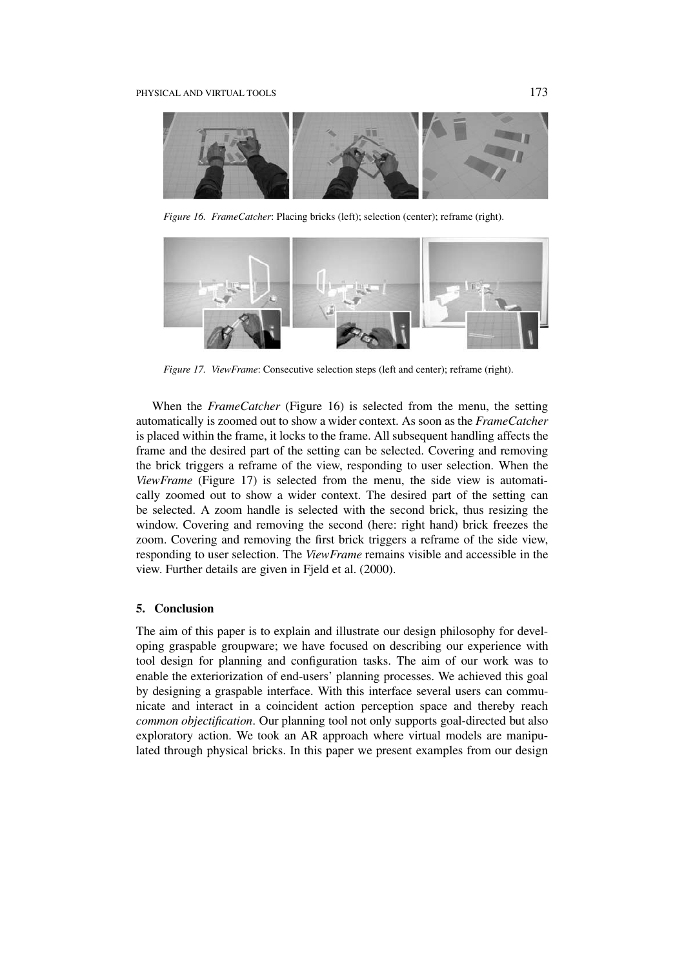![](_page_20_Picture_1.jpeg)

*Figure 16. FrameCatcher: Placing bricks (left); selection (center); reframe (right).* 

![](_page_20_Figure_3.jpeg)

*Figure 17. ViewFrame*: Consecutive selection steps (left and center); reframe (right).

When the *FrameCatcher* (Figure 16) is selected from the menu, the setting automatically is zoomed out to show a wider context. As soon as the *FrameCatcher* is placed within the frame, it locks to the frame. All subsequent handling affects the frame and the desired part of the setting can be selected. Covering and removing the brick triggers a reframe of the view, responding to user selection. When the *ViewFrame* (Figure 17) is selected from the menu, the side view is automatically zoomed out to show a wider context. The desired part of the setting can be selected. A zoom handle is selected with the second brick, thus resizing the window. Covering and removing the second (here: right hand) brick freezes the zoom. Covering and removing the first brick triggers a reframe of the side view, responding to user selection. The *ViewFrame* remains visible and accessible in the view. Further details are given in Fjeld et al. (2000).

#### **5. Conclusion**

The aim of this paper is to explain and illustrate our design philosophy for developing graspable groupware; we have focused on describing our experience with tool design for planning and configuration tasks. The aim of our work was to enable the exteriorization of end-users' planning processes. We achieved this goal by designing a graspable interface. With this interface several users can communicate and interact in a coincident action perception space and thereby reach *common objectification*. Our planning tool not only supports goal-directed but also exploratory action. We took an AR approach where virtual models are manipulated through physical bricks. In this paper we present examples from our design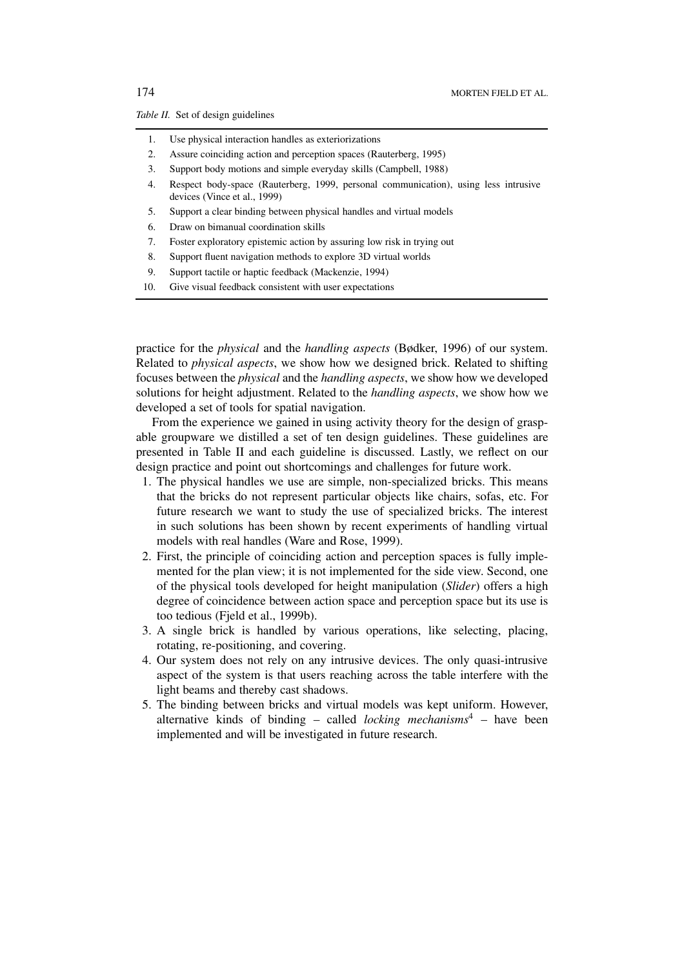- 1. Use physical interaction handles as exteriorizations
- 2. Assure coinciding action and perception spaces (Rauterberg, 1995)
- 3. Support body motions and simple everyday skills (Campbell, 1988)
- 4. Respect body-space (Rauterberg, 1999, personal communication), using less intrusive devices (Vince et al., 1999)
- 5. Support a clear binding between physical handles and virtual models
- 6. Draw on bimanual coordination skills
- 7. Foster exploratory epistemic action by assuring low risk in trying out
- 8. Support fluent navigation methods to explore 3D virtual worlds
- 9. Support tactile or haptic feedback (Mackenzie, 1994)
- 10. Give visual feedback consistent with user expectations

practice for the *physical* and the *handling aspects* (Bødker, 1996) of our system. Related to *physical aspects*, we show how we designed brick. Related to shifting focuses between the *physical* and the *handling aspects*, we show how we developed solutions for height adjustment. Related to the *handling aspects*, we show how we developed a set of tools for spatial navigation.

From the experience we gained in using activity theory for the design of graspable groupware we distilled a set of ten design guidelines. These guidelines are presented in Table II and each guideline is discussed. Lastly, we reflect on our design practice and point out shortcomings and challenges for future work.

- 1. The physical handles we use are simple, non-specialized bricks. This means that the bricks do not represent particular objects like chairs, sofas, etc. For future research we want to study the use of specialized bricks. The interest in such solutions has been shown by recent experiments of handling virtual models with real handles (Ware and Rose, 1999).
- 2. First, the principle of coinciding action and perception spaces is fully implemented for the plan view; it is not implemented for the side view. Second, one of the physical tools developed for height manipulation (*Slider*) offers a high degree of coincidence between action space and perception space but its use is too tedious (Fjeld et al., 1999b).
- 3. A single brick is handled by various operations, like selecting, placing, rotating, re-positioning, and covering.
- 4. Our system does not rely on any intrusive devices. The only quasi-intrusive aspect of the system is that users reaching across the table interfere with the light beams and thereby cast shadows.
- 5. The binding between bricks and virtual models was kept uniform. However, alternative kinds of binding – called *locking mechanisms*<sup>4</sup> – have been implemented and will be investigated in future research.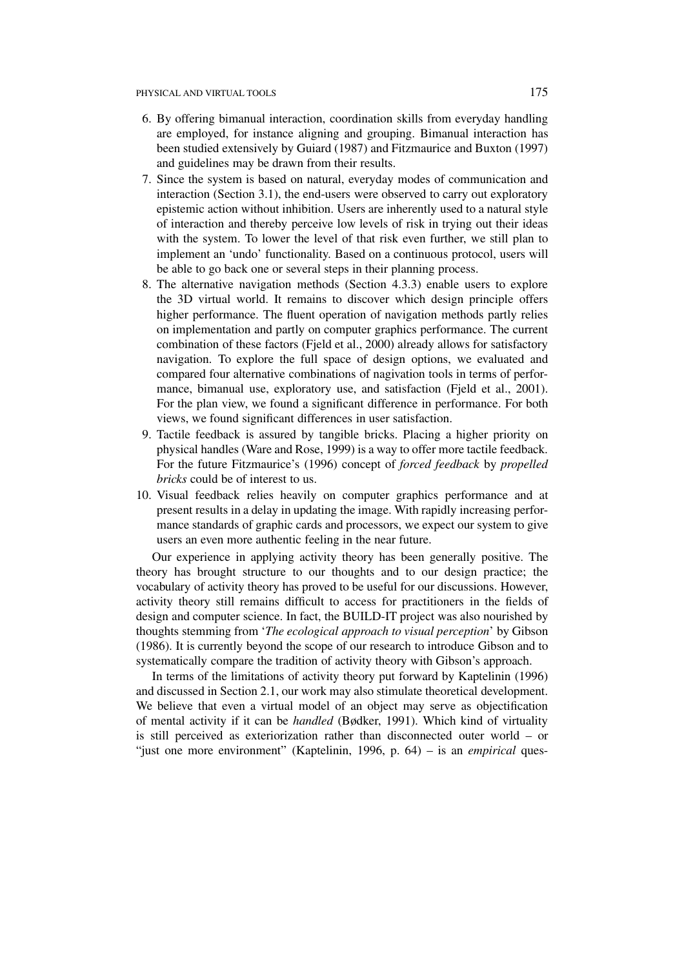- 6. By offering bimanual interaction, coordination skills from everyday handling are employed, for instance aligning and grouping. Bimanual interaction has been studied extensively by Guiard (1987) and Fitzmaurice and Buxton (1997) and guidelines may be drawn from their results.
- 7. Since the system is based on natural, everyday modes of communication and interaction (Section 3.1), the end-users were observed to carry out exploratory epistemic action without inhibition. Users are inherently used to a natural style of interaction and thereby perceive low levels of risk in trying out their ideas with the system. To lower the level of that risk even further, we still plan to implement an 'undo' functionality. Based on a continuous protocol, users will be able to go back one or several steps in their planning process.
- 8. The alternative navigation methods (Section 4.3.3) enable users to explore the 3D virtual world. It remains to discover which design principle offers higher performance. The fluent operation of navigation methods partly relies on implementation and partly on computer graphics performance. The current combination of these factors (Fjeld et al., 2000) already allows for satisfactory navigation. To explore the full space of design options, we evaluated and compared four alternative combinations of nagivation tools in terms of performance, bimanual use, exploratory use, and satisfaction (Fjeld et al., 2001). For the plan view, we found a significant difference in performance. For both views, we found significant differences in user satisfaction.
- 9. Tactile feedback is assured by tangible bricks. Placing a higher priority on physical handles (Ware and Rose, 1999) is a way to offer more tactile feedback. For the future Fitzmaurice's (1996) concept of *forced feedback* by *propelled bricks* could be of interest to us.
- 10. Visual feedback relies heavily on computer graphics performance and at present results in a delay in updating the image. With rapidly increasing performance standards of graphic cards and processors, we expect our system to give users an even more authentic feeling in the near future.

Our experience in applying activity theory has been generally positive. The theory has brought structure to our thoughts and to our design practice; the vocabulary of activity theory has proved to be useful for our discussions. However, activity theory still remains difficult to access for practitioners in the fields of design and computer science. In fact, the BUILD-IT project was also nourished by thoughts stemming from '*The ecological approach to visual perception*' by Gibson (1986). It is currently beyond the scope of our research to introduce Gibson and to systematically compare the tradition of activity theory with Gibson's approach.

In terms of the limitations of activity theory put forward by Kaptelinin (1996) and discussed in Section 2.1, our work may also stimulate theoretical development. We believe that even a virtual model of an object may serve as objectification of mental activity if it can be *handled* (Bødker, 1991). Which kind of virtuality is still perceived as exteriorization rather than disconnected outer world – or "just one more environment" (Kaptelinin, 1996, p. 64) – is an *empirical* ques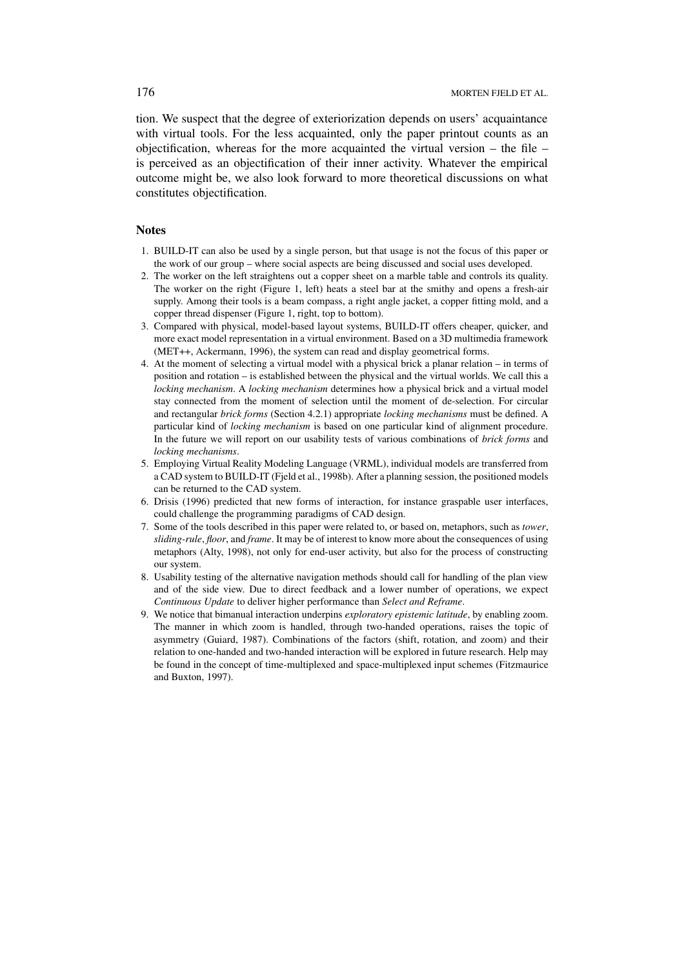tion. We suspect that the degree of exteriorization depends on users' acquaintance with virtual tools. For the less acquainted, only the paper printout counts as an objectification, whereas for the more acquainted the virtual version – the file – is perceived as an objectification of their inner activity. Whatever the empirical outcome might be, we also look forward to more theoretical discussions on what constitutes objectification.

#### **Notes**

- 1. BUILD-IT can also be used by a single person, but that usage is not the focus of this paper or the work of our group – where social aspects are being discussed and social uses developed.
- 2. The worker on the left straightens out a copper sheet on a marble table and controls its quality. The worker on the right (Figure 1, left) heats a steel bar at the smithy and opens a fresh-air supply. Among their tools is a beam compass, a right angle jacket, a copper fitting mold, and a copper thread dispenser (Figure 1, right, top to bottom).
- 3. Compared with physical, model-based layout systems, BUILD-IT offers cheaper, quicker, and more exact model representation in a virtual environment. Based on a 3D multimedia framework (MET++, Ackermann, 1996), the system can read and display geometrical forms.
- 4. At the moment of selecting a virtual model with a physical brick a planar relation in terms of position and rotation – is established between the physical and the virtual worlds. We call this a *locking mechanism*. A *locking mechanism* determines how a physical brick and a virtual model stay connected from the moment of selection until the moment of de-selection. For circular and rectangular *brick forms* (Section 4.2.1) appropriate *locking mechanisms* must be defined. A particular kind of *locking mechanism* is based on one particular kind of alignment procedure. In the future we will report on our usability tests of various combinations of *brick forms* and *locking mechanisms*.
- 5. Employing Virtual Reality Modeling Language (VRML), individual models are transferred from a CAD system to BUILD-IT (Fjeld et al., 1998b). After a planning session, the positioned models can be returned to the CAD system.
- 6. Drisis (1996) predicted that new forms of interaction, for instance graspable user interfaces, could challenge the programming paradigms of CAD design.
- 7. Some of the tools described in this paper were related to, or based on, metaphors, such as *tower*, *sliding-rule*, *floor*, and *frame*. It may be of interest to know more about the consequences of using metaphors (Alty, 1998), not only for end-user activity, but also for the process of constructing our system.
- 8. Usability testing of the alternative navigation methods should call for handling of the plan view and of the side view. Due to direct feedback and a lower number of operations, we expect *Continuous Update* to deliver higher performance than *Select and Reframe*.
- 9. We notice that bimanual interaction underpins *exploratory epistemic latitude*, by enabling zoom. The manner in which zoom is handled, through two-handed operations, raises the topic of asymmetry (Guiard, 1987). Combinations of the factors (shift, rotation, and zoom) and their relation to one-handed and two-handed interaction will be explored in future research. Help may be found in the concept of time-multiplexed and space-multiplexed input schemes (Fitzmaurice and Buxton, 1997).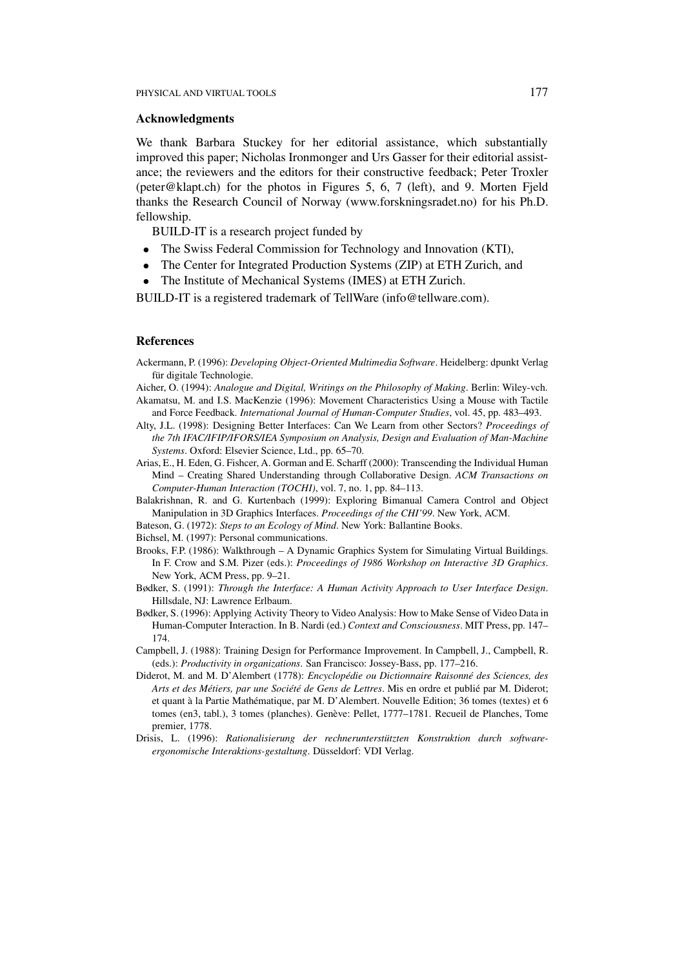#### **Acknowledgments**

We thank Barbara Stuckey for her editorial assistance, which substantially improved this paper; Nicholas Ironmonger and Urs Gasser for their editorial assistance; the reviewers and the editors for their constructive feedback; Peter Troxler (peter@klapt.ch) for the photos in Figures 5, 6, 7 (left), and 9. Morten Fjeld thanks the Research Council of Norway (www.forskningsradet.no) for his Ph.D. fellowship.

BUILD-IT is a research project funded by

- The Swiss Federal Commission for Technology and Innovation (KTI),
- The Center for Integrated Production Systems (ZIP) at ETH Zurich, and
- The Institute of Mechanical Systems (IMES) at ETH Zurich.

BUILD-IT is a registered trademark of TellWare (info@tellware.com).

#### **References**

- Ackermann, P. (1996): *Developing Object-Oriented Multimedia Software*. Heidelberg: dpunkt Verlag für digitale Technologie.
- Aicher, O. (1994): *Analogue and Digital, Writings on the Philosophy of Making*. Berlin: Wiley-vch. Akamatsu, M. and I.S. MacKenzie (1996): Movement Characteristics Using a Mouse with Tactile and Force Feedback. *International Journal of Human-Computer Studies*, vol. 45, pp. 483–493.
- Alty, J.L. (1998): Designing Better Interfaces: Can We Learn from other Sectors? *Proceedings of the 7th IFAC/IFIP/IFORS/IEA Symposium on Analysis, Design and Evaluation of Man-Machine Systems*. Oxford: Elsevier Science, Ltd., pp. 65–70.
- Arias, E., H. Eden, G. Fishcer, A. Gorman and E. Scharff (2000): Transcending the Individual Human Mind – Creating Shared Understanding through Collaborative Design. *ACM Transactions on Computer-Human Interaction (TOCHI)*, vol. 7, no. 1, pp. 84–113.
- Balakrishnan, R. and G. Kurtenbach (1999): Exploring Bimanual Camera Control and Object Manipulation in 3D Graphics Interfaces. *Proceedings of the CHI'99*. New York, ACM.
- Bateson, G. (1972): *Steps to an Ecology of Mind*. New York: Ballantine Books.
- Bichsel, M. (1997): Personal communications.
- Brooks, F.P. (1986): Walkthrough A Dynamic Graphics System for Simulating Virtual Buildings. In F. Crow and S.M. Pizer (eds.): *Proceedings of 1986 Workshop on Interactive 3D Graphics*. New York, ACM Press, pp. 9–21.
- Bødker, S. (1991): *Through the Interface: A Human Activity Approach to User Interface Design*. Hillsdale, NJ: Lawrence Erlbaum.
- Bødker, S. (1996): Applying Activity Theory to Video Analysis: How to Make Sense of Video Data in Human-Computer Interaction. In B. Nardi (ed.) *Context and Consciousness*. MIT Press, pp. 147– 174.
- Campbell, J. (1988): Training Design for Performance Improvement. In Campbell, J., Campbell, R. (eds.): *Productivity in organizations*. San Francisco: Jossey-Bass, pp. 177–216.
- Diderot, M. and M. D'Alembert (1778): *Encyclopédie ou Dictionnaire Raisonné des Sciences, des Arts et des Métiers, par une Société de Gens de Lettres*. Mis en ordre et publié par M. Diderot; et quant à la Partie Mathématique, par M. D'Alembert. Nouvelle Edition; 36 tomes (textes) et 6 tomes (en3, tabl.), 3 tomes (planches). Genève: Pellet, 1777–1781. Recueil de Planches, Tome premier, 1778.
- Drisis, L. (1996): *Rationalisierung der rechnerunterstützten Konstruktion durch softwareergonomische Interaktions-gestaltung*. Düsseldorf: VDI Verlag.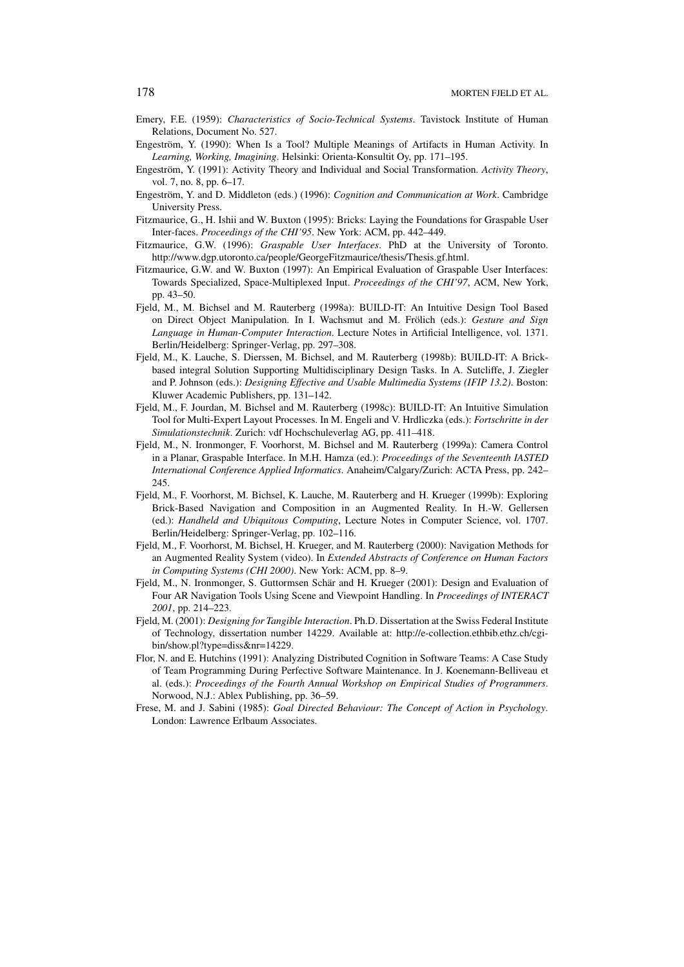- Emery, F.E. (1959): *Characteristics of Socio-Technical Systems*. Tavistock Institute of Human Relations, Document No. 527.
- Engeström, Y. (1990): When Is a Tool? Multiple Meanings of Artifacts in Human Activity. In *Learning, Working, Imagining*. Helsinki: Orienta-Konsultit Oy, pp. 171–195.
- Engeström, Y. (1991): Activity Theory and Individual and Social Transformation. *Activity Theory*, vol. 7, no. 8, pp. 6-17.
- Engeström, Y. and D. Middleton (eds.) (1996): *Cognition and Communication at Work*. Cambridge University Press.
- Fitzmaurice, G., H. Ishii and W. Buxton (1995): Bricks: Laying the Foundations for Graspable User Inter-faces. *Proceedings of the CHI'95*. New York: ACM, pp. 442–449.
- Fitzmaurice, G.W. (1996): *Graspable User Interfaces*. PhD at the University of Toronto. http://www.dgp.utoronto.ca/people/GeorgeFitzmaurice/thesis/Thesis.gf.html.
- Fitzmaurice, G.W. and W. Buxton (1997): An Empirical Evaluation of Graspable User Interfaces: Towards Specialized, Space-Multiplexed Input. *Proceedings of the CHI'97*, ACM, New York, pp. 43–50.
- Fjeld, M., M. Bichsel and M. Rauterberg (1998a): BUILD-IT: An Intuitive Design Tool Based on Direct Object Manipulation. In I. Wachsmut and M. Frölich (eds.): *Gesture and Sign Language in Human-Computer Interaction*. Lecture Notes in Artificial Intelligence, vol. 1371. Berlin/Heidelberg: Springer-Verlag, pp. 297–308.
- Fjeld, M., K. Lauche, S. Dierssen, M. Bichsel, and M. Rauterberg (1998b): BUILD-IT: A Brickbased integral Solution Supporting Multidisciplinary Design Tasks. In A. Sutcliffe, J. Ziegler and P. Johnson (eds.): *Designing Effective and Usable Multimedia Systems (IFIP 13.2)*. Boston: Kluwer Academic Publishers, pp. 131–142.
- Fjeld, M., F. Jourdan, M. Bichsel and M. Rauterberg (1998c): BUILD-IT: An Intuitive Simulation Tool for Multi-Expert Layout Processes. In M. Engeli and V. Hrdliczka (eds.): *Fortschritte in der Simulationstechnik*. Zurich: vdf Hochschuleverlag AG, pp. 411–418.
- Fjeld, M., N. Ironmonger, F. Voorhorst, M. Bichsel and M. Rauterberg (1999a): Camera Control in a Planar, Graspable Interface. In M.H. Hamza (ed.): *Proceedings of the Seventeenth IASTED International Conference Applied Informatics*. Anaheim/Calgary/Zurich: ACTA Press, pp. 242– 245.
- Fjeld, M., F. Voorhorst, M. Bichsel, K. Lauche, M. Rauterberg and H. Krueger (1999b): Exploring Brick-Based Navigation and Composition in an Augmented Reality. In H.-W. Gellersen (ed.): *Handheld and Ubiquitous Computing*, Lecture Notes in Computer Science, vol. 1707. Berlin/Heidelberg: Springer-Verlag, pp. 102–116.
- Fjeld, M., F. Voorhorst, M. Bichsel, H. Krueger, and M. Rauterberg (2000): Navigation Methods for an Augmented Reality System (video). In *Extended Abstracts of Conference on Human Factors in Computing Systems (CHI 2000)*. New York: ACM, pp. 8–9.
- Fjeld, M., N. Ironmonger, S. Guttormsen Schär and H. Krueger (2001): Design and Evaluation of Four AR Navigation Tools Using Scene and Viewpoint Handling. In *Proceedings of INTERACT 2001*, pp. 214–223.
- Fjeld, M. (2001): *Designing for Tangible Interaction*. Ph.D. Dissertation at the Swiss Federal Institute of Technology, dissertation number 14229. Available at: http://e-collection.ethbib.ethz.ch/cgibin/show.pl?type=diss&nr=14229.
- Flor, N. and E. Hutchins (1991): Analyzing Distributed Cognition in Software Teams: A Case Study of Team Programming During Perfective Software Maintenance. In J. Koenemann-Belliveau et al. (eds.): *Proceedings of the Fourth Annual Workshop on Empirical Studies of Programmers*. Norwood, N.J.: Ablex Publishing, pp. 36–59.
- Frese, M. and J. Sabini (1985): *Goal Directed Behaviour: The Concept of Action in Psychology*. London: Lawrence Erlbaum Associates.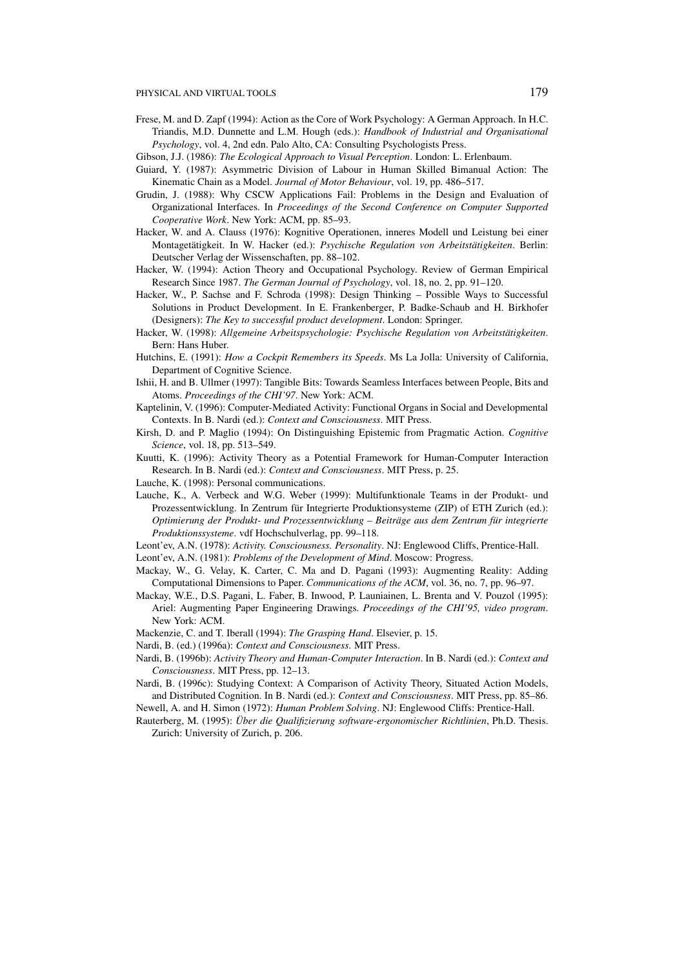- Frese, M. and D. Zapf (1994): Action as the Core of Work Psychology: A German Approach. In H.C. Triandis, M.D. Dunnette and L.M. Hough (eds.): *Handbook of Industrial and Organisational Psychology*, vol. 4, 2nd edn. Palo Alto, CA: Consulting Psychologists Press.
- Gibson, J.J. (1986): *The Ecological Approach to Visual Perception*. London: L. Erlenbaum.
- Guiard, Y. (1987): Asymmetric Division of Labour in Human Skilled Bimanual Action: The Kinematic Chain as a Model. *Journal of Motor Behaviour*, vol. 19, pp. 486–517.
- Grudin, J. (1988): Why CSCW Applications Fail: Problems in the Design and Evaluation of Organizational Interfaces. In *Proceedings of the Second Conference on Computer Supported Cooperative Work*. New York: ACM, pp. 85–93.
- Hacker, W. and A. Clauss (1976): Kognitive Operationen, inneres Modell und Leistung bei einer Montagetätigkeit. In W. Hacker (ed.): *Psychische Regulation von Arbeitstätigkeiten*. Berlin: Deutscher Verlag der Wissenschaften, pp. 88–102.
- Hacker, W. (1994): Action Theory and Occupational Psychology. Review of German Empirical Research Since 1987. *The German Journal of Psychology*, vol. 18, no. 2, pp. 91–120.
- Hacker, W., P. Sachse and F. Schroda (1998): Design Thinking Possible Ways to Successful Solutions in Product Development. In E. Frankenberger, P. Badke-Schaub and H. Birkhofer (Designers): *The Key to successful product development*. London: Springer.
- Hacker, W. (1998): *Allgemeine Arbeitspsychologie: Psychische Regulation von Arbeitstätigkeiten*. Bern: Hans Huber.
- Hutchins, E. (1991): *How a Cockpit Remembers its Speeds*. Ms La Jolla: University of California, Department of Cognitive Science.
- Ishii, H. and B. Ullmer (1997): Tangible Bits: Towards Seamless Interfaces between People, Bits and Atoms. *Proceedings of the CHI'97*. New York: ACM.
- Kaptelinin, V. (1996): Computer-Mediated Activity: Functional Organs in Social and Developmental Contexts. In B. Nardi (ed.): *Context and Consciousness*. MIT Press.
- Kirsh, D. and P. Maglio (1994): On Distinguishing Epistemic from Pragmatic Action. *Cognitive Science*, vol. 18, pp. 513–549.
- Kuutti, K. (1996): Activity Theory as a Potential Framework for Human-Computer Interaction Research. In B. Nardi (ed.): *Context and Consciousness*. MIT Press, p. 25.
- Lauche, K. (1998): Personal communications.
- Lauche, K., A. Verbeck and W.G. Weber (1999): Multifunktionale Teams in der Produkt- und Prozessentwicklung. In Zentrum für Integrierte Produktionsysteme (ZIP) of ETH Zurich (ed.): *Optimierung der Produkt- und Prozessentwicklung – Beiträge aus dem Zentrum für integrierte Produktionssysteme*. vdf Hochschulverlag, pp. 99–118.
- Leont'ev, A.N. (1978): *Activity. Consciousness. Personality*. NJ: Englewood Cliffs, Prentice-Hall.
- Leont'ev, A.N. (1981): *Problems of the Development of Mind*. Moscow: Progress.
- Mackay, W., G. Velay, K. Carter, C. Ma and D. Pagani (1993): Augmenting Reality: Adding Computational Dimensions to Paper. *Communications of the ACM*, vol. 36, no. 7, pp. 96–97.
- Mackay, W.E., D.S. Pagani, L. Faber, B. Inwood, P. Launiainen, L. Brenta and V. Pouzol (1995): Ariel: Augmenting Paper Engineering Drawings. *Proceedings of the CHI'95, video program*. New York: ACM.
- Mackenzie, C. and T. Iberall (1994): *The Grasping Hand*. Elsevier, p. 15.
- Nardi, B. (ed.) (1996a): *Context and Consciousness*. MIT Press.
- Nardi, B. (1996b): *Activity Theory and Human-Computer Interaction*. In B. Nardi (ed.): *Context and Consciousness*. MIT Press, pp. 12–13.
- Nardi, B. (1996c): Studying Context: A Comparison of Activity Theory, Situated Action Models, and Distributed Cognition. In B. Nardi (ed.): *Context and Consciousness*. MIT Press, pp. 85–86.
- Newell, A. and H. Simon (1972): *Human Problem Solving*. NJ: Englewood Cliffs: Prentice-Hall.
- Rauterberg, M. (1995): *Über die Qualifizierung software-ergonomischer Richtlinien*, Ph.D. Thesis. Zurich: University of Zurich, p. 206.